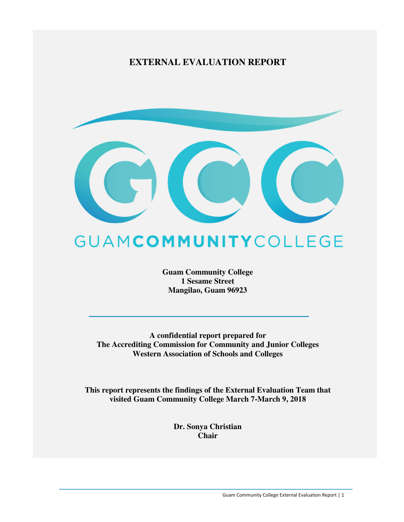### **EXTERNAL EVALUATION REPORT**



# GUAMCOMMUNITYCOLLEGE

**Guam Community College 1 Sesame Street Mangilao, Guam 96923** 

**A confidential report prepared for The Accrediting Commission for Community and Junior Colleges Western Association of Schools and Colleges** 

**This report represents the findings of the External Evaluation Team that visited Guam Community College March 7-March 9, 2018** 

> **Dr. Sonya Christian Chair**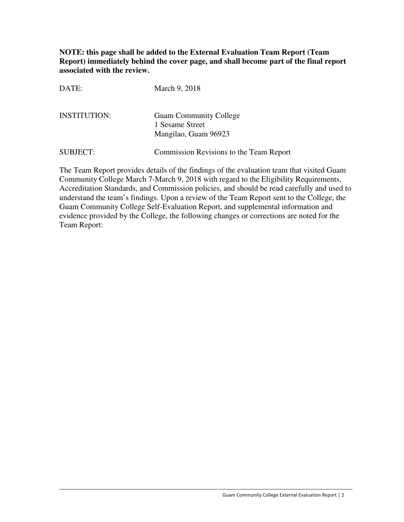**NOTE: this page shall be added to the External Evaluation Team Report (Team Report) immediately behind the cover page, and shall become part of the final report associated with the review.** 

| DATE:               | March 9, 2018                                                            |
|---------------------|--------------------------------------------------------------------------|
| <b>INSTITUTION:</b> | <b>Guam Community College</b><br>1 Sesame Street<br>Mangilao, Guam 96923 |
| <b>SUBJECT:</b>     | Commission Revisions to the Team Report                                  |

The Team Report provides details of the findings of the evaluation team that visited Guam Community College March 7-March 9, 2018 with regard to the Eligibility Requirements, Accreditation Standards, and Commission policies, and should be read carefully and used to understand the team's findings. Upon a review of the Team Report sent to the College, the Guam Community College Self-Evaluation Report, and supplemental information and evidence provided by the College, the following changes or corrections are noted for the Team Report: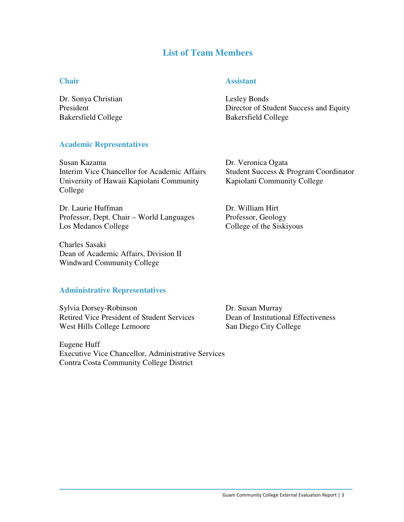### **List of Team Members**

### **Chair** Assistant

Dr. Sonya Christian Lesley Bonds Bakersfield College Bakersfield College

President Director of Student Success and Equity

### **Academic Representatives**

Susan Kazama Dr. Veronica Ogata Interim Vice Chancellor for Academic Affairs Student Success & Program Coordinator University of Hawaii Kapiolani Community Kapiolani Community College College

Dr. Laurie Huffman Dr. William Hirt Professor, Dept. Chair - World Languages Professor, Geology Los Medanos College College College of the Siskiyous

Charles Sasaki Dean of Academic Affairs, Division II Windward Community College

### **Administrative Representatives**

Sylvia Dorsey-Robinson Dr. Susan Murray Retired Vice President of Student Services Dean of Institutional Effectiveness West Hills College Lemoore San Diego City College

Eugene Huff Executive Vice Chancellor, Administrative Services Contra Costa Community College District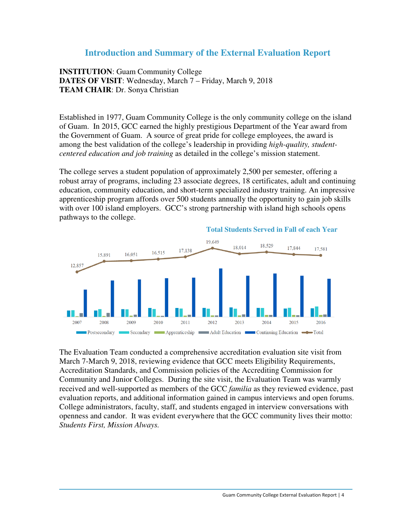### **Introduction and Summary of the External Evaluation Report**

**INSTITUTION**: Guam Community College **DATES OF VISIT**: Wednesday, March 7 – Friday, March 9, 2018 **TEAM CHAIR**: Dr. Sonya Christian

Established in 1977, Guam Community College is the only community college on the island of Guam. In 2015, GCC earned the highly prestigious Department of the Year award from the Government of Guam. A source of great pride for college employees, the award is among the best validation of the college's leadership in providing *high-quality, studentcentered education and job training* as detailed in the college's mission statement.

The college serves a student population of approximately 2,500 per semester, offering a robust array of programs, including 23 associate degrees, 18 certificates, adult and continuing education, community education, and short-term specialized industry training. An impressive apprenticeship program affords over 500 students annually the opportunity to gain job skills with over 100 island employers. GCC's strong partnership with island high schools opens pathways to the college.



The Evaluation Team conducted a comprehensive accreditation evaluation site visit from March 7-March 9, 2018, reviewing evidence that GCC meets Eligibility Requirements, Accreditation Standards, and Commission policies of the Accrediting Commission for Community and Junior Colleges. During the site visit, the Evaluation Team was warmly received and well-supported as members of the GCC *familia* as they reviewed evidence, past evaluation reports, and additional information gained in campus interviews and open forums. College administrators, faculty, staff, and students engaged in interview conversations with openness and candor. It was evident everywhere that the GCC community lives their motto: *Students First, Mission Always.*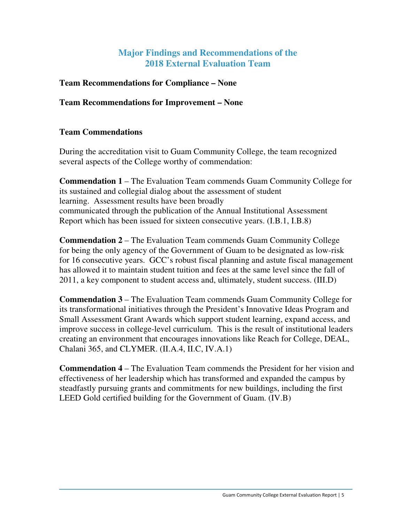### **Major Findings and Recommendations of the 2018 External Evaluation Team**

### **Team Recommendations for Compliance – None**

### **Team Recommendations for Improvement – None**

### **Team Commendations**

During the accreditation visit to Guam Community College, the team recognized several aspects of the College worthy of commendation:

**Commendation 1** – The Evaluation Team commends Guam Community College for its sustained and collegial dialog about the assessment of student learning. Assessment results have been broadly communicated through the publication of the Annual Institutional Assessment Report which has been issued for sixteen consecutive years. (I.B.1, I.B.8)

**Commendation 2** – The Evaluation Team commends Guam Community College for being the only agency of the Government of Guam to be designated as low-risk for 16 consecutive years. GCC's robust fiscal planning and astute fiscal management has allowed it to maintain student tuition and fees at the same level since the fall of 2011, a key component to student access and, ultimately, student success. (III.D)

**Commendation 3** – The Evaluation Team commends Guam Community College for its transformational initiatives through the President's Innovative Ideas Program and Small Assessment Grant Awards which support student learning, expand access, and improve success in college-level curriculum. This is the result of institutional leaders creating an environment that encourages innovations like Reach for College, DEAL, Chalani 365, and CLYMER. (II.A.4, II.C, IV.A.1)

**Commendation 4** – The Evaluation Team commends the President for her vision and effectiveness of her leadership which has transformed and expanded the campus by steadfastly pursuing grants and commitments for new buildings, including the first LEED Gold certified building for the Government of Guam. (IV.B)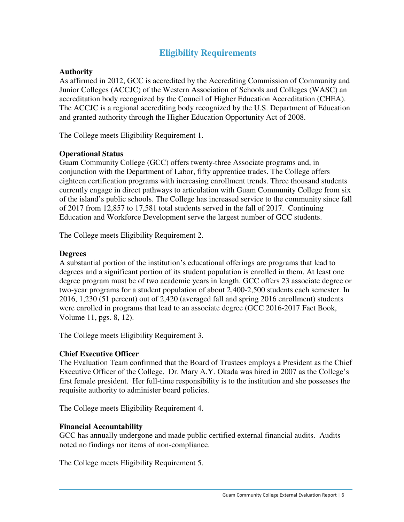### **Eligibility Requirements**

### **Authority**

As affirmed in 2012, GCC is accredited by the Accrediting Commission of Community and Junior Colleges (ACCJC) of the Western Association of Schools and Colleges (WASC) an accreditation body recognized by the Council of Higher Education Accreditation (CHEA). The ACCJC is a regional accrediting body recognized by the U.S. Department of Education and granted authority through the Higher Education Opportunity Act of 2008.

The College meets Eligibility Requirement 1.

### **Operational Status**

Guam Community College (GCC) offers twenty-three Associate programs and, in conjunction with the Department of Labor, fifty apprentice trades. The College offers eighteen certification programs with increasing enrollment trends. Three thousand students currently engage in direct pathways to articulation with Guam Community College from six of the island's public schools. The College has increased service to the community since fall of 2017 from 12,857 to 17,581 total students served in the fall of 2017. Continuing Education and Workforce Development serve the largest number of GCC students.

The College meets Eligibility Requirement 2.

### **Degrees**

A substantial portion of the institution's educational offerings are programs that lead to degrees and a significant portion of its student population is enrolled in them. At least one degree program must be of two academic years in length. GCC offers 23 associate degree or two-year programs for a student population of about 2,400-2,500 students each semester. In 2016, 1,230 (51 percent) out of 2,420 (averaged fall and spring 2016 enrollment) students were enrolled in programs that lead to an associate degree (GCC 2016-2017 Fact Book, Volume 11, pgs. 8, 12).

The College meets Eligibility Requirement 3.

### **Chief Executive Officer**

The Evaluation Team confirmed that the Board of Trustees employs a President as the Chief Executive Officer of the College. Dr. Mary A.Y. Okada was hired in 2007 as the College's first female president. Her full-time responsibility is to the institution and she possesses the requisite authority to administer board policies.

The College meets Eligibility Requirement 4.

### **Financial Accountability**

GCC has annually undergone and made public certified external financial audits. Audits noted no findings nor items of non-compliance.

The College meets Eligibility Requirement 5.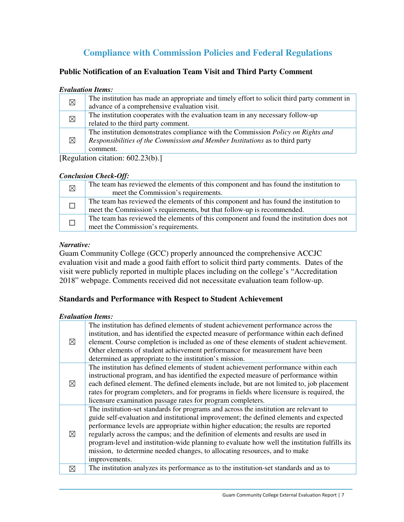## **Compliance with Commission Policies and Federal Regulations**

### **Public Notification of an Evaluation Team Visit and Third Party Comment**

#### *Evaluation Items:*

| $\boxtimes$ | The institution has made an appropriate and timely effort to solicit third party comment in |
|-------------|---------------------------------------------------------------------------------------------|
|             | advance of a comprehensive evaluation visit.                                                |
| $\boxtimes$ | The institution cooperates with the evaluation team in any necessary follow-up              |
|             | related to the third party comment.                                                         |
| $\boxtimes$ | The institution demonstrates compliance with the Commission <i>Policy on Rights and</i>     |
|             | Responsibilities of the Commission and Member Institutions as to third party                |
|             | comment.                                                                                    |

[Regulation citation: 602.23(b).]

### *Conclusion Check-Off:*

| $\boxtimes$ | The team has reviewed the elements of this component and has found the institution to<br>meet the Commission's requirements.                                    |
|-------------|-----------------------------------------------------------------------------------------------------------------------------------------------------------------|
|             | The team has reviewed the elements of this component and has found the institution to<br>meet the Commission's requirements, but that follow-up is recommended. |
|             | The team has reviewed the elements of this component and found the institution does not<br>meet the Commission's requirements.                                  |

### *Narrative:*

Guam Community College (GCC) properly announced the comprehensive ACCJC evaluation visit and made a good faith effort to solicit third party comments. Dates of the visit were publicly reported in multiple places including on the college's "Accreditation 2018" webpage. Comments received did not necessitate evaluation team follow-up.

### **Standards and Performance with Respect to Student Achievement**

### *Evaluation Items:*

| $\boxtimes$ | The institution has defined elements of student achievement performance across the<br>institution, and has identified the expected measure of performance within each defined<br>element. Course completion is included as one of these elements of student achievement.<br>Other elements of student achievement performance for measurement have been<br>determined as appropriate to the institution's mission.                                                                                                                                             |
|-------------|----------------------------------------------------------------------------------------------------------------------------------------------------------------------------------------------------------------------------------------------------------------------------------------------------------------------------------------------------------------------------------------------------------------------------------------------------------------------------------------------------------------------------------------------------------------|
| $\boxtimes$ | The institution has defined elements of student achievement performance within each<br>instructional program, and has identified the expected measure of performance within<br>each defined element. The defined elements include, but are not limited to, job placement<br>rates for program completers, and for programs in fields where licensure is required, the<br>licensure examination passage rates for program completers.                                                                                                                           |
| ⊠           | The institution-set standards for programs and across the institution are relevant to<br>guide self-evaluation and institutional improvement; the defined elements and expected<br>performance levels are appropriate within higher education; the results are reported<br>regularly across the campus; and the definition of elements and results are used in<br>program-level and institution-wide planning to evaluate how well the institution fulfills its<br>mission, to determine needed changes, to allocating resources, and to make<br>improvements. |
| $\boxtimes$ | The institution analyzes its performance as to the institution-set standards and as to                                                                                                                                                                                                                                                                                                                                                                                                                                                                         |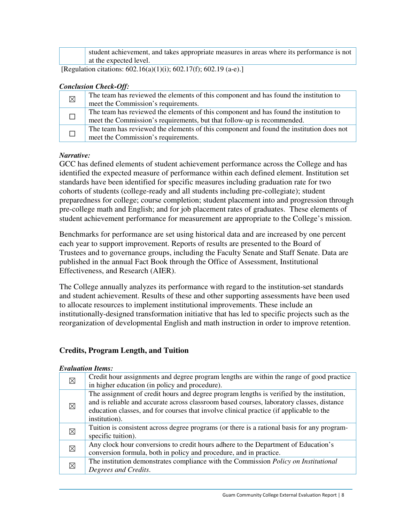| student achievement, and takes appropriate measures in areas where its performance is not |
|-------------------------------------------------------------------------------------------|
| $\perp$ at the expected level.                                                            |

[Regulation citations: 602.16(a)(1)(i); 602.17(f); 602.19 (a-e).]

#### *Conclusion Check-Off:*

| $\boxtimes$ | The team has reviewed the elements of this component and has found the institution to   |
|-------------|-----------------------------------------------------------------------------------------|
|             | meet the Commission's requirements.                                                     |
|             | The team has reviewed the elements of this component and has found the institution to   |
|             | meet the Commission's requirements, but that follow-up is recommended.                  |
|             | The team has reviewed the elements of this component and found the institution does not |
|             | meet the Commission's requirements.                                                     |

#### *Narrative:*

GCC has defined elements of student achievement performance across the College and has identified the expected measure of performance within each defined element. Institution set standards have been identified for specific measures including graduation rate for two cohorts of students (college-ready and all students including pre-collegiate); student preparedness for college; course completion; student placement into and progression through pre-college math and English; and for job placement rates of graduates. These elements of student achievement performance for measurement are appropriate to the College's mission.

Benchmarks for performance are set using historical data and are increased by one percent each year to support improvement. Reports of results are presented to the Board of Trustees and to governance groups, including the Faculty Senate and Staff Senate. Data are published in the annual Fact Book through the Office of Assessment, Institutional Effectiveness, and Research (AIER).

The College annually analyzes its performance with regard to the institution-set standards and student achievement. Results of these and other supporting assessments have been used to allocate resources to implement institutional improvements. These include an institutionally-designed transformation initiative that has led to specific projects such as the reorganization of developmental English and math instruction in order to improve retention.

### **Credits, Program Length, and Tuition**

#### *Evaluation Items:*

| $\boxtimes$ | Credit hour assignments and degree program lengths are within the range of good practice<br>in higher education (in policy and procedure).                                                                                                                                                         |
|-------------|----------------------------------------------------------------------------------------------------------------------------------------------------------------------------------------------------------------------------------------------------------------------------------------------------|
| $\boxtimes$ | The assignment of credit hours and degree program lengths is verified by the institution,<br>and is reliable and accurate across classroom based courses, laboratory classes, distance<br>education classes, and for courses that involve clinical practice (if applicable to the<br>institution). |
| $\boxtimes$ | Tuition is consistent across degree programs (or there is a rational basis for any program-<br>specific tuition).                                                                                                                                                                                  |
| $\boxtimes$ | Any clock hour conversions to credit hours adhere to the Department of Education's<br>conversion formula, both in policy and procedure, and in practice.                                                                                                                                           |
| $\boxtimes$ | The institution demonstrates compliance with the Commission Policy on Institutional<br>Degrees and Credits.                                                                                                                                                                                        |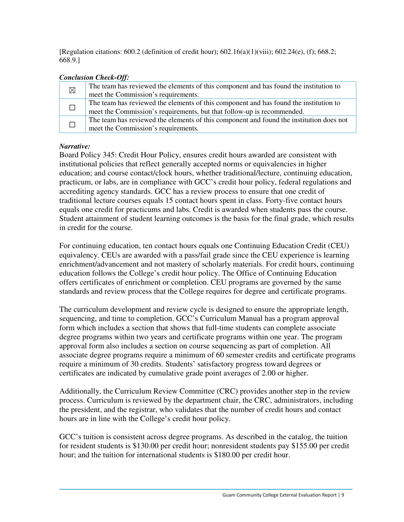[Regulation citations: 600.2 (definition of credit hour); 602.16(a)(1)(viii); 602.24(e), (f); 668.2; 668.9.]

### *Conclusion Check-Off:*

| $\boxtimes$ | The team has reviewed the elements of this component and has found the institution to   |
|-------------|-----------------------------------------------------------------------------------------|
|             | meet the Commission's requirements.                                                     |
|             | The team has reviewed the elements of this component and has found the institution to   |
|             | meet the Commission's requirements, but that follow-up is recommended.                  |
|             | The team has reviewed the elements of this component and found the institution does not |
|             | meet the Commission's requirements.                                                     |

### *Narrative:*

Board Policy 345: Credit Hour Policy, ensures credit hours awarded are consistent with institutional policies that reflect generally accepted norms or equivalencies in higher education; and course contact/clock hours, whether traditional/lecture, continuing education, practicum, or labs, are in compliance with GCC's credit hour policy, federal regulations and accrediting agency standards. GCC has a review process to ensure that one credit of traditional lecture courses equals 15 contact hours spent in class. Forty-five contact hours equals one credit for practicums and labs. Credit is awarded when students pass the course. Student attainment of student learning outcomes is the basis for the final grade, which results in credit for the course.

For continuing education, ten contact hours equals one Continuing Education Credit (CEU) equivalency. CEUs are awarded with a pass/fail grade since the CEU experience is learning enrichment/advancement and not mastery of scholarly materials. For credit hours, continuing education follows the College's credit hour policy. The Office of Continuing Education offers certificates of enrichment or completion. CEU programs are governed by the same standards and review process that the College requires for degree and certificate programs.

The curriculum development and review cycle is designed to ensure the appropriate length, sequencing, and time to completion. GCC's Curriculum Manual has a program approval form which includes a section that shows that full-time students can complete associate degree programs within two years and certificate programs within one year. The program approval form also includes a section on course sequencing as part of completion. All associate degree programs require a minimum of 60 semester credits and certificate programs require a minimum of 30 credits. Students' satisfactory progress toward degrees or certificates are indicated by cumulative grade point averages of 2.00 or higher.

Additionally, the Curriculum Review Committee (CRC) provides another step in the review process. Curriculum is reviewed by the department chair, the CRC, administrators, including the president, and the registrar, who validates that the number of credit hours and contact hours are in line with the College's credit hour policy.

GCC's tuition is consistent across degree programs. As described in the catalog, the tuition for resident students is \$130.00 per credit hour; nonresident students pay \$155.00 per credit hour; and the tuition for international students is \$180.00 per credit hour.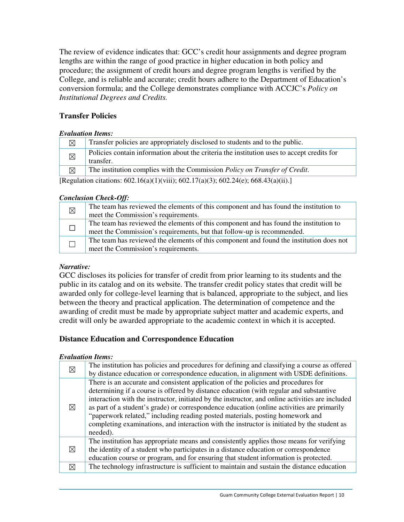The review of evidence indicates that: GCC's credit hour assignments and degree program lengths are within the range of good practice in higher education in both policy and procedure; the assignment of credit hours and degree program lengths is verified by the College, and is reliable and accurate; credit hours adhere to the Department of Education's conversion formula; and the College demonstrates compliance with ACCJC's *Policy on Institutional Degrees and Credits.*

### **Transfer Policies**

### *Evaluation Items:*

| X           | Transfer policies are appropriately disclosed to students and to the public.                            |
|-------------|---------------------------------------------------------------------------------------------------------|
| $\boxtimes$ | Policies contain information about the criteria the institution uses to accept credits for<br>transfer. |
| $\boxtimes$ | The institution complies with the Commission <i>Policy on Transfer of Credit</i> .                      |
|             |                                                                                                         |

[Regulation citations: 602.16(a)(1)(viii); 602.17(a)(3); 602.24(e); 668.43(a)(ii).]

### *Conclusion Check-Off:*

| $\boxtimes$ | The team has reviewed the elements of this component and has found the institution to   |
|-------------|-----------------------------------------------------------------------------------------|
|             | meet the Commission's requirements.                                                     |
|             | The team has reviewed the elements of this component and has found the institution to   |
|             | meet the Commission's requirements, but that follow-up is recommended.                  |
|             | The team has reviewed the elements of this component and found the institution does not |
|             | meet the Commission's requirements.                                                     |

### *Narrative:*

GCC discloses its policies for transfer of credit from prior learning to its students and the public in its catalog and on its website. The transfer credit policy states that credit will be awarded only for college-level learning that is balanced, appropriate to the subject, and lies between the theory and practical application. The determination of competence and the awarding of credit must be made by appropriate subject matter and academic experts, and credit will only be awarded appropriate to the academic context in which it is accepted.

### **Distance Education and Correspondence Education**

### *Evaluation Items:*

| ⊠           | The institution has policies and procedures for defining and classifying a course as offered<br>by distance education or correspondence education, in alignment with USDE definitions.                                                                                                                                                                                                                                                                                                                                                                                     |
|-------------|----------------------------------------------------------------------------------------------------------------------------------------------------------------------------------------------------------------------------------------------------------------------------------------------------------------------------------------------------------------------------------------------------------------------------------------------------------------------------------------------------------------------------------------------------------------------------|
| ⊠           | There is an accurate and consistent application of the policies and procedures for<br>determining if a course is offered by distance education (with regular and substantive<br>interaction with the instructor, initiated by the instructor, and online activities are included<br>as part of a student's grade) or correspondence education (online activities are primarily<br>"paperwork related," including reading posted materials, posting homework and<br>completing examinations, and interaction with the instructor is initiated by the student as<br>needed). |
| $\boxtimes$ | The institution has appropriate means and consistently applies those means for verifying<br>the identity of a student who participates in a distance education or correspondence<br>education course or program, and for ensuring that student information is protected.                                                                                                                                                                                                                                                                                                   |
| $\boxtimes$ | The technology infrastructure is sufficient to maintain and sustain the distance education                                                                                                                                                                                                                                                                                                                                                                                                                                                                                 |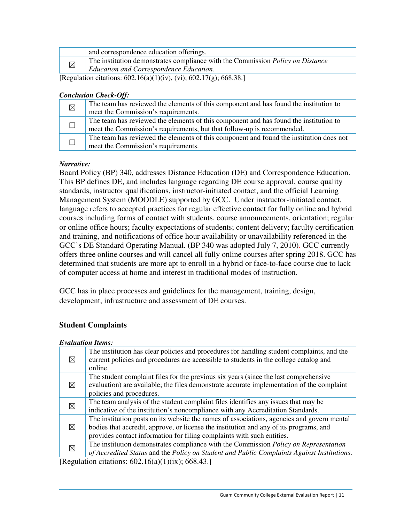|                                                                                                                                                                                                                                                                        | and correspondence education offerings.                                        |
|------------------------------------------------------------------------------------------------------------------------------------------------------------------------------------------------------------------------------------------------------------------------|--------------------------------------------------------------------------------|
| $\boxtimes$                                                                                                                                                                                                                                                            | The institution demonstrates compliance with the Commission Policy on Distance |
|                                                                                                                                                                                                                                                                        | Education and Correspondence Education.                                        |
| $\mathbb{R}$ is the contractive $\mathbb{R}$ contract $\mathbb{R}$ is the set of $\mathbb{R}$ in $\mathbb{R}$ is the set of $\mathbb{R}$ is the set of $\mathbb{R}$ is the set of $\mathbb{R}$ is the set of $\mathbb{R}$ is the set of $\mathbb{R}$ is the set of $\$ |                                                                                |

[Regulation citations:  $602.16(a)(1)(iv)$ , (vi);  $602.17(g)$ ;  $668.38$ .]

### *Conclusion Check-Off:*

| $\boxtimes$ | The team has reviewed the elements of this component and has found the institution to   |
|-------------|-----------------------------------------------------------------------------------------|
|             | meet the Commission's requirements.                                                     |
|             | The team has reviewed the elements of this component and has found the institution to   |
|             | meet the Commission's requirements, but that follow-up is recommended.                  |
|             | The team has reviewed the elements of this component and found the institution does not |
|             | meet the Commission's requirements.                                                     |

### *Narrative:*

Board Policy (BP) 340, addresses Distance Education (DE) and Correspondence Education. This BP defines DE, and includes language regarding DE course approval, course quality standards, instructor qualifications, instructor-initiated contact, and the official Learning Management System (MOODLE) supported by GCC. Under instructor-initiated contact, language refers to accepted practices for regular effective contact for fully online and hybrid courses including forms of contact with students, course announcements, orientation; regular or online office hours; faculty expectations of students; content delivery; faculty certification and training, and notifications of office hour availability or unavailability referenced in the GCC's DE Standard Operating Manual. (BP 340 was adopted July 7, 2010). GCC currently offers three online courses and will cancel all fully online courses after spring 2018. GCC has determined that students are more apt to enroll in a hybrid or face-to-face course due to lack of computer access at home and interest in traditional modes of instruction.

GCC has in place processes and guidelines for the management, training, design, development, infrastructure and assessment of DE courses.

### **Student Complaints**

| <b>Evaluation Items:</b> |                                                                                             |
|--------------------------|---------------------------------------------------------------------------------------------|
| ⊠                        | The institution has clear policies and procedures for handling student complaints, and the  |
|                          | current policies and procedures are accessible to students in the college catalog and       |
|                          | online.                                                                                     |
| ⊠                        | The student complaint files for the previous six years (since the last comprehensive        |
|                          | evaluation) are available; the files demonstrate accurate implementation of the complaint   |
|                          | policies and procedures.                                                                    |
| ⊠                        | The team analysis of the student complaint files identifies any issues that may be          |
|                          | indicative of the institution's noncompliance with any Accreditation Standards.             |
| ⊠                        | The institution posts on its website the names of associations, agencies and govern mental  |
|                          | bodies that accredit, approve, or license the institution and any of its programs, and      |
|                          | provides contact information for filing complaints with such entities.                      |
| ⊠                        | The institution demonstrates compliance with the Commission <i>Policy on Representation</i> |
|                          | of Accredited Status and the Policy on Student and Public Complaints Against Institutions.  |
| гn.                      |                                                                                             |

[Regulation citations:  $602.16(a)(1)(ix)$ ; 668.43.]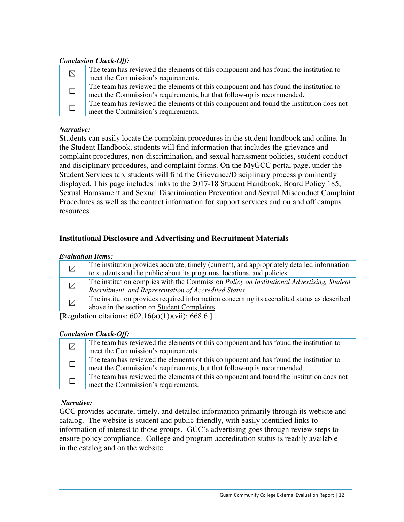### *Conclusion Check-Off:*

| $\boxtimes$ | The team has reviewed the elements of this component and has found the institution to<br>meet the Commission's requirements.                                    |  |
|-------------|-----------------------------------------------------------------------------------------------------------------------------------------------------------------|--|
|             | The team has reviewed the elements of this component and has found the institution to<br>meet the Commission's requirements, but that follow-up is recommended. |  |
|             | The team has reviewed the elements of this component and found the institution does not<br>meet the Commission's requirements.                                  |  |

### *Narrative:*

Students can easily locate the complaint procedures in the student handbook and online. In the Student Handbook, students will find information that includes the grievance and complaint procedures, non-discrimination, and sexual harassment policies, student conduct and disciplinary procedures, and complaint forms. On the MyGCC portal page, under the Student Services tab, students will find the Grievance/Disciplinary process prominently displayed. This page includes links to the 2017-18 Student Handbook, Board Policy 185, Sexual Harassment and Sexual Discrimination Prevention and Sexual Misconduct Complaint Procedures as well as the contact information for support services and on and off campus resources.

### **Institutional Disclosure and Advertising and Recruitment Materials**

#### *Evaluation Items:*

| $\boxtimes$ | The institution provides accurate, timely (current), and appropriately detailed information      |
|-------------|--------------------------------------------------------------------------------------------------|
|             | to students and the public about its programs, locations, and policies.                          |
| $\boxtimes$ | The institution complies with the Commission <i>Policy on Institutional Advertising, Student</i> |
|             | Recruitment, and Representation of Accredited Status.                                            |
| $\boxtimes$ | The institution provides required information concerning its accredited status as described      |
|             | above in the section on Student Complaints.                                                      |
|             |                                                                                                  |

[Regulation citations:  $602.16(a)(1))$ (vii); 668.6.]

#### *Conclusion Check-Off:*

| $\boxtimes$ | The team has reviewed the elements of this component and has found the institution to   |
|-------------|-----------------------------------------------------------------------------------------|
|             | meet the Commission's requirements.                                                     |
|             | The team has reviewed the elements of this component and has found the institution to   |
|             | meet the Commission's requirements, but that follow-up is recommended.                  |
|             | The team has reviewed the elements of this component and found the institution does not |
|             | meet the Commission's requirements.                                                     |

### *Narrative:*

GCC provides accurate, timely, and detailed information primarily through its website and catalog. The website is student and public-friendly, with easily identified links to information of interest to those groups. GCC's advertising goes through review steps to ensure policy compliance. College and program accreditation status is readily available in the catalog and on the website.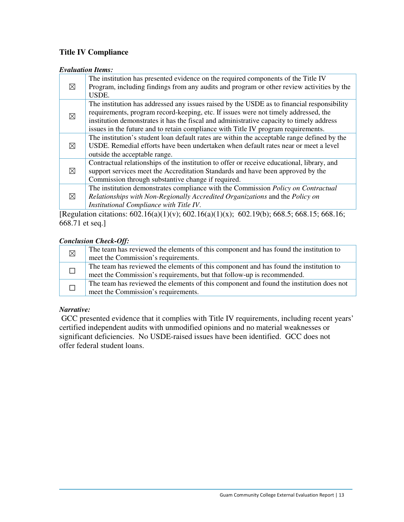### **Title IV Compliance**

#### *Evaluation Items:*

| $\boxtimes$ | The institution has presented evidence on the required components of the Title IV           |
|-------------|---------------------------------------------------------------------------------------------|
|             | Program, including findings from any audits and program or other review activities by the   |
|             | USDE.                                                                                       |
| ⊠           | The institution has addressed any issues raised by the USDE as to financial responsibility  |
|             | requirements, program record-keeping, etc. If issues were not timely addressed, the         |
|             | institution demonstrates it has the fiscal and administrative capacity to timely address    |
|             | issues in the future and to retain compliance with Title IV program requirements.           |
|             | The institution's student loan default rates are within the acceptable range defined by the |
| $\boxtimes$ | USDE. Remedial efforts have been undertaken when default rates near or meet a level         |
|             | outside the acceptable range.                                                               |
| $\boxtimes$ | Contractual relationships of the institution to offer or receive educational, library, and  |
|             | support services meet the Accreditation Standards and have been approved by the             |
|             | Commission through substantive change if required.                                          |
| $\boxtimes$ | The institution demonstrates compliance with the Commission Policy on Contractual           |
|             | Relationships with Non-Regionally Accredited Organizations and the Policy on                |
|             | Institutional Compliance with Title IV.                                                     |

[Regulation citations:  $602.16(a)(1)(v)$ ;  $602.16(a)(1)(x)$ ;  $602.19(b)$ ;  $668.5$ ;  $668.15$ ;  $668.16$ ; 668.71 et seq.]

### *Conclusion Check-Off:*

| $\boxtimes$ | The team has reviewed the elements of this component and has found the institution to   |
|-------------|-----------------------------------------------------------------------------------------|
|             | meet the Commission's requirements.                                                     |
|             | The team has reviewed the elements of this component and has found the institution to   |
|             | meet the Commission's requirements, but that follow-up is recommended.                  |
|             | The team has reviewed the elements of this component and found the institution does not |
|             | meet the Commission's requirements.                                                     |

### *Narrative:*

 GCC presented evidence that it complies with Title IV requirements, including recent years' certified independent audits with unmodified opinions and no material weaknesses or significant deficiencies. No USDE-raised issues have been identified. GCC does not offer federal student loans.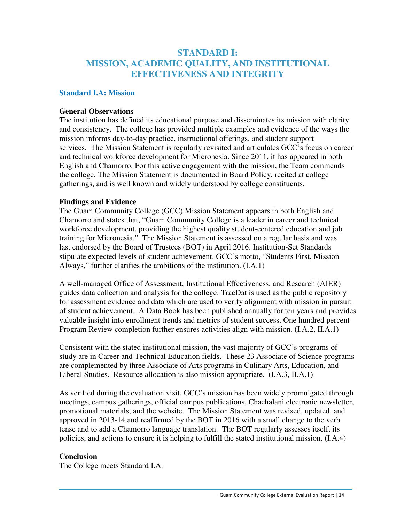### **STANDARD I: MISSION, ACADEMIC QUALITY, AND INSTITUTIONAL EFFECTIVENESS AND INTEGRITY**

### **Standard I.A: Mission**

#### **General Observations**

The institution has defined its educational purpose and disseminates its mission with clarity and consistency. The college has provided multiple examples and evidence of the ways the mission informs day-to-day practice, instructional offerings, and student support services. The Mission Statement is regularly revisited and articulates GCC's focus on career and technical workforce development for Micronesia. Since 2011, it has appeared in both English and Chamorro. For this active engagement with the mission, the Team commends the college. The Mission Statement is documented in Board Policy, recited at college gatherings, and is well known and widely understood by college constituents.

### **Findings and Evidence**

The Guam Community College (GCC) Mission Statement appears in both English and Chamorro and states that, "Guam Community College is a leader in career and technical workforce development, providing the highest quality student-centered education and job training for Micronesia." The Mission Statement is assessed on a regular basis and was last endorsed by the Board of Trustees (BOT) in April 2016. Institution-Set Standards stipulate expected levels of student achievement. GCC's motto, "Students First, Mission Always," further clarifies the ambitions of the institution. (I.A.1)

A well-managed Office of Assessment, Institutional Effectiveness, and Research (AIER) guides data collection and analysis for the college. TracDat is used as the public repository for assessment evidence and data which are used to verify alignment with mission in pursuit of student achievement. A Data Book has been published annually for ten years and provides valuable insight into enrollment trends and metrics of student success. One hundred percent Program Review completion further ensures activities align with mission. (I.A.2, II.A.1)

Consistent with the stated institutional mission, the vast majority of GCC's programs of study are in Career and Technical Education fields. These 23 Associate of Science programs are complemented by three Associate of Arts programs in Culinary Arts, Education, and Liberal Studies. Resource allocation is also mission appropriate. (I.A.3, II.A.1)

As verified during the evaluation visit, GCC's mission has been widely promulgated through meetings, campus gatherings, official campus publications, Chachalani electronic newsletter, promotional materials, and the website. The Mission Statement was revised, updated, and approved in 2013-14 and reaffirmed by the BOT in 2016 with a small change to the verb tense and to add a Chamorro language translation. The BOT regularly assesses itself, its policies, and actions to ensure it is helping to fulfill the stated institutional mission. (I.A.4)

### **Conclusion**

The College meets Standard I.A.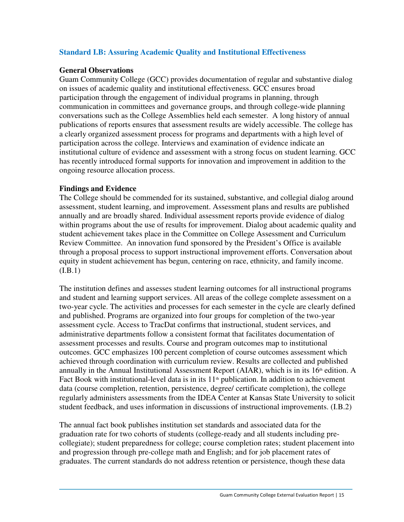### **Standard I.B: Assuring Academic Quality and Institutional Effectiveness**

### **General Observations**

Guam Community College (GCC) provides documentation of regular and substantive dialog on issues of academic quality and institutional effectiveness. GCC ensures broad participation through the engagement of individual programs in planning, through communication in committees and governance groups, and through college-wide planning conversations such as the College Assemblies held each semester. A long history of annual publications of reports ensures that assessment results are widely accessible. The college has a clearly organized assessment process for programs and departments with a high level of participation across the college. Interviews and examination of evidence indicate an institutional culture of evidence and assessment with a strong focus on student learning. GCC has recently introduced formal supports for innovation and improvement in addition to the ongoing resource allocation process.

### **Findings and Evidence**

The College should be commended for its sustained, substantive, and collegial dialog around assessment, student learning, and improvement. Assessment plans and results are published annually and are broadly shared. Individual assessment reports provide evidence of dialog within programs about the use of results for improvement. Dialog about academic quality and student achievement takes place in the Committee on College Assessment and Curriculum Review Committee. An innovation fund sponsored by the President's Office is available through a proposal process to support instructional improvement efforts. Conversation about equity in student achievement has begun, centering on race, ethnicity, and family income.  $(I.B.1)$ 

The institution defines and assesses student learning outcomes for all instructional programs and student and learning support services. All areas of the college complete assessment on a two-year cycle. The activities and processes for each semester in the cycle are clearly defined and published. Programs are organized into four groups for completion of the two-year assessment cycle. Access to TracDat confirms that instructional, student services, and administrative departments follow a consistent format that facilitates documentation of assessment processes and results. Course and program outcomes map to institutional outcomes. GCC emphasizes 100 percent completion of course outcomes assessment which achieved through coordination with curriculum review. Results are collected and published annually in the Annual Institutional Assessment Report (AIAR), which is in its  $16<sup>th</sup>$  edition. A Fact Book with institutional-level data is in its  $11<sup>th</sup>$  publication. In addition to achievement data (course completion, retention, persistence, degree/ certificate completion), the college regularly administers assessments from the IDEA Center at Kansas State University to solicit student feedback, and uses information in discussions of instructional improvements. (I.B.2)

The annual fact book publishes institution set standards and associated data for the graduation rate for two cohorts of students (college-ready and all students including precollegiate); student preparedness for college; course completion rates; student placement into and progression through pre-college math and English; and for job placement rates of graduates. The current standards do not address retention or persistence, though these data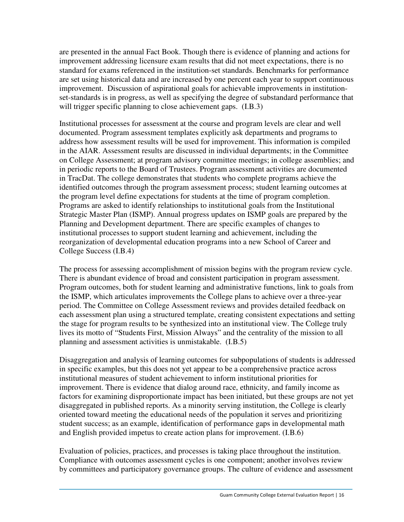are presented in the annual Fact Book. Though there is evidence of planning and actions for improvement addressing licensure exam results that did not meet expectations, there is no standard for exams referenced in the institution-set standards. Benchmarks for performance are set using historical data and are increased by one percent each year to support continuous improvement. Discussion of aspirational goals for achievable improvements in institutionset-standards is in progress, as well as specifying the degree of substandard performance that will trigger specific planning to close achievement gaps.  $(I.B.3)$ 

Institutional processes for assessment at the course and program levels are clear and well documented. Program assessment templates explicitly ask departments and programs to address how assessment results will be used for improvement. This information is compiled in the AIAR. Assessment results are discussed in individual departments; in the Committee on College Assessment; at program advisory committee meetings; in college assemblies; and in periodic reports to the Board of Trustees. Program assessment activities are documented in TracDat. The college demonstrates that students who complete programs achieve the identified outcomes through the program assessment process; student learning outcomes at the program level define expectations for students at the time of program completion. Programs are asked to identify relationships to institutional goals from the Institutional Strategic Master Plan (ISMP). Annual progress updates on ISMP goals are prepared by the Planning and Development department. There are specific examples of changes to institutional processes to support student learning and achievement, including the reorganization of developmental education programs into a new School of Career and College Success (I.B.4)

The process for assessing accomplishment of mission begins with the program review cycle. There is abundant evidence of broad and consistent participation in program assessment. Program outcomes, both for student learning and administrative functions, link to goals from the ISMP, which articulates improvements the College plans to achieve over a three-year period. The Committee on College Assessment reviews and provides detailed feedback on each assessment plan using a structured template, creating consistent expectations and setting the stage for program results to be synthesized into an institutional view. The College truly lives its motto of "Students First, Mission Always" and the centrality of the mission to all planning and assessment activities is unmistakable. (I.B.5)

Disaggregation and analysis of learning outcomes for subpopulations of students is addressed in specific examples, but this does not yet appear to be a comprehensive practice across institutional measures of student achievement to inform institutional priorities for improvement. There is evidence that dialog around race, ethnicity, and family income as factors for examining disproportionate impact has been initiated, but these groups are not yet disaggregated in published reports. As a minority serving institution, the College is clearly oriented toward meeting the educational needs of the population it serves and prioritizing student success; as an example, identification of performance gaps in developmental math and English provided impetus to create action plans for improvement. (I.B.6)

Evaluation of policies, practices, and processes is taking place throughout the institution. Compliance with outcomes assessment cycles is one component; another involves review by committees and participatory governance groups. The culture of evidence and assessment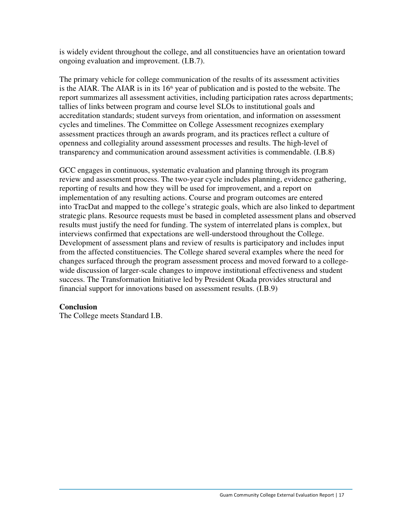is widely evident throughout the college, and all constituencies have an orientation toward ongoing evaluation and improvement. (I.B.7).

The primary vehicle for college communication of the results of its assessment activities is the AIAR. The AIAR is in its  $16<sup>th</sup>$  year of publication and is posted to the website. The report summarizes all assessment activities, including participation rates across departments; tallies of links between program and course level SLOs to institutional goals and accreditation standards; student surveys from orientation, and information on assessment cycles and timelines. The Committee on College Assessment recognizes exemplary assessment practices through an awards program, and its practices reflect a culture of openness and collegiality around assessment processes and results. The high-level of transparency and communication around assessment activities is commendable. (I.B.8)

GCC engages in continuous, systematic evaluation and planning through its program review and assessment process. The two-year cycle includes planning, evidence gathering, reporting of results and how they will be used for improvement, and a report on implementation of any resulting actions. Course and program outcomes are entered into TracDat and mapped to the college's strategic goals, which are also linked to department strategic plans. Resource requests must be based in completed assessment plans and observed results must justify the need for funding. The system of interrelated plans is complex, but interviews confirmed that expectations are well-understood throughout the College. Development of assessment plans and review of results is participatory and includes input from the affected constituencies. The College shared several examples where the need for changes surfaced through the program assessment process and moved forward to a collegewide discussion of larger-scale changes to improve institutional effectiveness and student success. The Transformation Initiative led by President Okada provides structural and financial support for innovations based on assessment results. (I.B.9)

### **Conclusion**

The College meets Standard I.B.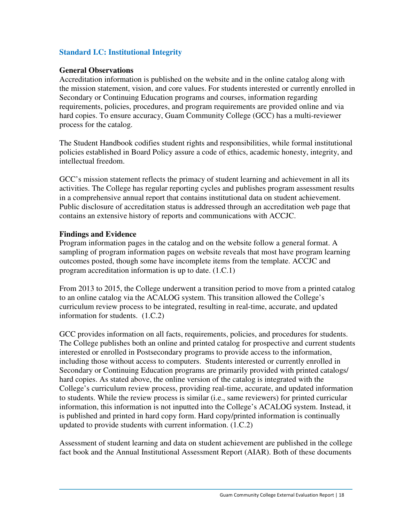### **Standard I.C: Institutional Integrity**

### **General Observations**

Accreditation information is published on the website and in the online catalog along with the mission statement, vision, and core values. For students interested or currently enrolled in Secondary or Continuing Education programs and courses, information regarding requirements, policies, procedures, and program requirements are provided online and via hard copies. To ensure accuracy, Guam Community College (GCC) has a multi-reviewer process for the catalog.

The Student Handbook codifies student rights and responsibilities, while formal institutional policies established in Board Policy assure a code of ethics, academic honesty, integrity, and intellectual freedom.

GCC's mission statement reflects the primacy of student learning and achievement in all its activities. The College has regular reporting cycles and publishes program assessment results in a comprehensive annual report that contains institutional data on student achievement. Public disclosure of accreditation status is addressed through an accreditation web page that contains an extensive history of reports and communications with ACCJC.

### **Findings and Evidence**

Program information pages in the catalog and on the website follow a general format. A sampling of program information pages on website reveals that most have program learning outcomes posted, though some have incomplete items from the template. ACCJC and program accreditation information is up to date. (1.C.1)

From 2013 to 2015, the College underwent a transition period to move from a printed catalog to an online catalog via the ACALOG system. This transition allowed the College's curriculum review process to be integrated, resulting in real-time, accurate, and updated information for students. (1.C.2)

GCC provides information on all facts, requirements, policies, and procedures for students. The College publishes both an online and printed catalog for prospective and current students interested or enrolled in Postsecondary programs to provide access to the information, including those without access to computers. Students interested or currently enrolled in Secondary or Continuing Education programs are primarily provided with printed catalogs/ hard copies. As stated above, the online version of the catalog is integrated with the College's curriculum review process, providing real-time, accurate, and updated information to students. While the review process is similar (i.e., same reviewers) for printed curricular information, this information is not inputted into the College's ACALOG system. Instead, it is published and printed in hard copy form. Hard copy/printed information is continually updated to provide students with current information. (1.C.2)

Assessment of student learning and data on student achievement are published in the college fact book and the Annual Institutional Assessment Report (AIAR). Both of these documents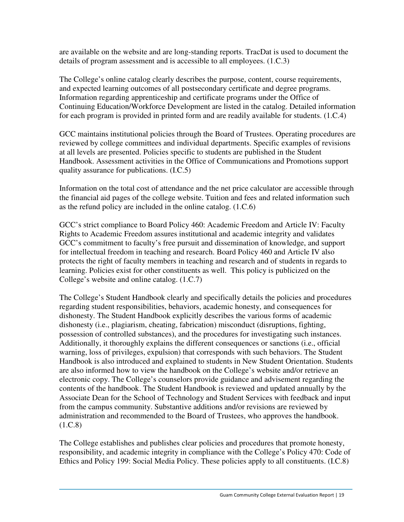are available on the website and are long-standing reports. TracDat is used to document the details of program assessment and is accessible to all employees. (1.C.3)

The College's online catalog clearly describes the purpose, content, course requirements, and expected learning outcomes of all postsecondary certificate and degree programs. Information regarding apprenticeship and certificate programs under the Office of Continuing Education/Workforce Development are listed in the catalog. Detailed information for each program is provided in printed form and are readily available for students. (1.C.4)

GCC maintains institutional policies through the Board of Trustees. Operating procedures are reviewed by college committees and individual departments. Specific examples of revisions at all levels are presented. Policies specific to students are published in the Student Handbook. Assessment activities in the Office of Communications and Promotions support quality assurance for publications. (I.C.5)

Information on the total cost of attendance and the net price calculator are accessible through the financial aid pages of the college website. Tuition and fees and related information such as the refund policy are included in the online catalog. (1.C.6)

GCC's strict compliance to Board Policy 460: Academic Freedom and Article IV: Faculty Rights to Academic Freedom assures institutional and academic integrity and validates GCC's commitment to faculty's free pursuit and dissemination of knowledge, and support for intellectual freedom in teaching and research. Board Policy 460 and Article IV also protects the right of faculty members in teaching and research and of students in regards to learning. Policies exist for other constituents as well. This policy is publicized on the College's website and online catalog. (1.C.7)

The College's Student Handbook clearly and specifically details the policies and procedures regarding student responsibilities, behaviors, academic honesty, and consequences for dishonesty. The Student Handbook explicitly describes the various forms of academic dishonesty (i.e., plagiarism, cheating, fabrication) misconduct (disruptions, fighting, possession of controlled substances), and the procedures for investigating such instances. Additionally, it thoroughly explains the different consequences or sanctions (i.e., official warning, loss of privileges, expulsion) that corresponds with such behaviors. The Student Handbook is also introduced and explained to students in New Student Orientation. Students are also informed how to view the handbook on the College's website and/or retrieve an electronic copy. The College's counselors provide guidance and advisement regarding the contents of the handbook. The Student Handbook is reviewed and updated annually by the Associate Dean for the School of Technology and Student Services with feedback and input from the campus community. Substantive additions and/or revisions are reviewed by administration and recommended to the Board of Trustees, who approves the handbook.  $(1.C.8)$ 

The College establishes and publishes clear policies and procedures that promote honesty, responsibility, and academic integrity in compliance with the College's Policy 470: Code of Ethics and Policy 199: Social Media Policy. These policies apply to all constituents. (I.C.8)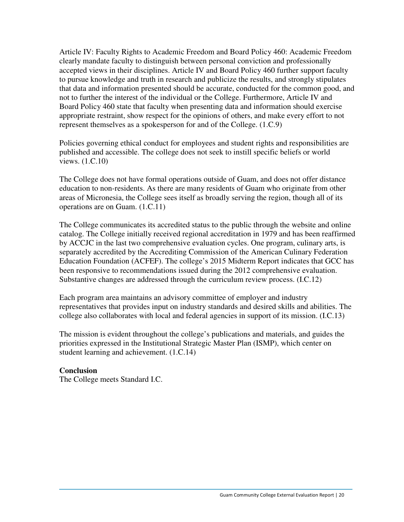Article IV: Faculty Rights to Academic Freedom and Board Policy 460: Academic Freedom clearly mandate faculty to distinguish between personal conviction and professionally accepted views in their disciplines. Article IV and Board Policy 460 further support faculty to pursue knowledge and truth in research and publicize the results, and strongly stipulates that data and information presented should be accurate, conducted for the common good, and not to further the interest of the individual or the College. Furthermore, Article IV and Board Policy 460 state that faculty when presenting data and information should exercise appropriate restraint, show respect for the opinions of others, and make every effort to not represent themselves as a spokesperson for and of the College. (1.C.9)

Policies governing ethical conduct for employees and student rights and responsibilities are published and accessible. The college does not seek to instill specific beliefs or world views. (1.C.10)

The College does not have formal operations outside of Guam, and does not offer distance education to non-residents. As there are many residents of Guam who originate from other areas of Micronesia, the College sees itself as broadly serving the region, though all of its operations are on Guam. (1.C.11)

The College communicates its accredited status to the public through the website and online catalog. The College initially received regional accreditation in 1979 and has been reaffirmed by ACCJC in the last two comprehensive evaluation cycles. One program, culinary arts, is separately accredited by the Accrediting Commission of the American Culinary Federation Education Foundation (ACFEF). The college's 2015 Midterm Report indicates that GCC has been responsive to recommendations issued during the 2012 comprehensive evaluation. Substantive changes are addressed through the curriculum review process. (I.C.12)

Each program area maintains an advisory committee of employer and industry representatives that provides input on industry standards and desired skills and abilities. The college also collaborates with local and federal agencies in support of its mission. (I.C.13)

The mission is evident throughout the college's publications and materials, and guides the priorities expressed in the Institutional Strategic Master Plan (ISMP), which center on student learning and achievement. (1.C.14)

### **Conclusion**

The College meets Standard I.C.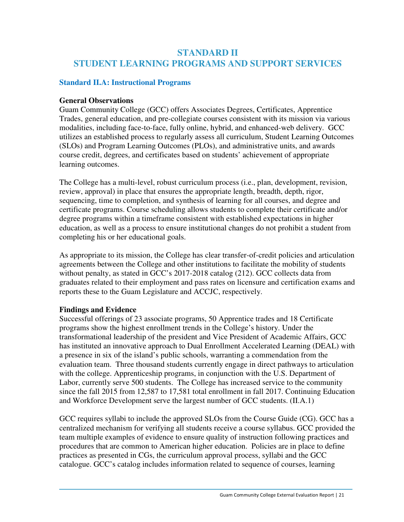### **STANDARD II STUDENT LEARNING PROGRAMS AND SUPPORT SERVICES**

### **Standard II.A: Instructional Programs**

### **General Observations**

Guam Community College (GCC) offers Associates Degrees, Certificates, Apprentice Trades, general education, and pre-collegiate courses consistent with its mission via various modalities, including face-to-face, fully online, hybrid, and enhanced-web delivery. GCC utilizes an established process to regularly assess all curriculum, Student Learning Outcomes (SLOs) and Program Learning Outcomes (PLOs), and administrative units, and awards course credit, degrees, and certificates based on students' achievement of appropriate learning outcomes.

The College has a multi-level, robust curriculum process (i.e., plan, development, revision, review, approval) in place that ensures the appropriate length, breadth, depth, rigor, sequencing, time to completion, and synthesis of learning for all courses, and degree and certificate programs. Course scheduling allows students to complete their certificate and/or degree programs within a timeframe consistent with established expectations in higher education, as well as a process to ensure institutional changes do not prohibit a student from completing his or her educational goals.

As appropriate to its mission, the College has clear transfer-of-credit policies and articulation agreements between the College and other institutions to facilitate the mobility of students without penalty, as stated in GCC's 2017-2018 catalog (212). GCC collects data from graduates related to their employment and pass rates on licensure and certification exams and reports these to the Guam Legislature and ACCJC, respectively.

### **Findings and Evidence**

Successful offerings of 23 associate programs, 50 Apprentice trades and 18 Certificate programs show the highest enrollment trends in the College's history. Under the transformational leadership of the president and Vice President of Academic Affairs, GCC has instituted an innovative approach to Dual Enrollment Accelerated Learning (DEAL) with a presence in six of the island's public schools, warranting a commendation from the evaluation team. Three thousand students currently engage in direct pathways to articulation with the college. Apprenticeship programs, in conjunction with the U.S. Department of Labor, currently serve 500 students. The College has increased service to the community since the fall 2015 from 12,587 to 17,581 total enrollment in fall 2017. Continuing Education and Workforce Development serve the largest number of GCC students. (II.A.1)

GCC requires syllabi to include the approved SLOs from the Course Guide (CG). GCC has a centralized mechanism for verifying all students receive a course syllabus. GCC provided the team multiple examples of evidence to ensure quality of instruction following practices and procedures that are common to American higher education. Policies are in place to define practices as presented in CGs, the curriculum approval process, syllabi and the GCC catalogue. GCC's catalog includes information related to sequence of courses, learning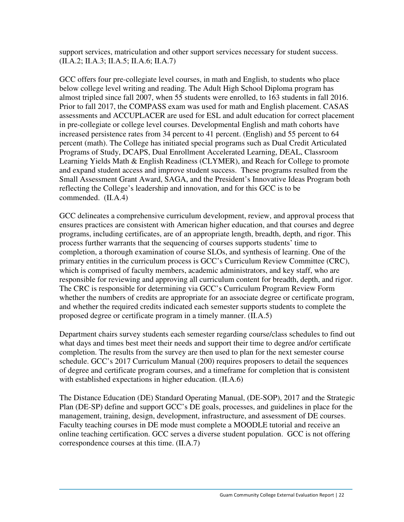support services, matriculation and other support services necessary for student success. (II.A.2; II.A.3; II.A.5; II.A.6; II.A.7)

GCC offers four pre-collegiate level courses, in math and English, to students who place below college level writing and reading. The Adult High School Diploma program has almost tripled since fall 2007, when 55 students were enrolled, to 163 students in fall 2016. Prior to fall 2017, the COMPASS exam was used for math and English placement. CASAS assessments and ACCUPLACER are used for ESL and adult education for correct placement in pre-collegiate or college level courses. Developmental English and math cohorts have increased persistence rates from 34 percent to 41 percent. (English) and 55 percent to 64 percent (math). The College has initiated special programs such as Dual Credit Articulated Programs of Study, DCAPS, Dual Enrollment Accelerated Learning, DEAL, Classroom Learning Yields Math & English Readiness (CLYMER), and Reach for College to promote and expand student access and improve student success. These programs resulted from the Small Assessment Grant Award, SAGA, and the President's Innovative Ideas Program both reflecting the College's leadership and innovation, and for this GCC is to be commended. (II.A.4)

GCC delineates a comprehensive curriculum development, review, and approval process that ensures practices are consistent with American higher education, and that courses and degree programs, including certificates, are of an appropriate length, breadth, depth, and rigor. This process further warrants that the sequencing of courses supports students' time to completion, a thorough examination of course SLOs, and synthesis of learning. One of the primary entities in the curriculum process is GCC's Curriculum Review Committee (CRC), which is comprised of faculty members, academic administrators, and key staff, who are responsible for reviewing and approving all curriculum content for breadth, depth, and rigor. The CRC is responsible for determining via GCC's Curriculum Program Review Form whether the numbers of credits are appropriate for an associate degree or certificate program, and whether the required credits indicated each semester supports students to complete the proposed degree or certificate program in a timely manner. (II.A.5)

Department chairs survey students each semester regarding course/class schedules to find out what days and times best meet their needs and support their time to degree and/or certificate completion. The results from the survey are then used to plan for the next semester course schedule. GCC's 2017 Curriculum Manual (200) requires proposers to detail the sequences of degree and certificate program courses, and a timeframe for completion that is consistent with established expectations in higher education. (II.A.6)

The Distance Education (DE) Standard Operating Manual, (DE-SOP), 2017 and the Strategic Plan (DE-SP) define and support GCC's DE goals, processes, and guidelines in place for the management, training, design, development, infrastructure, and assessment of DE courses. Faculty teaching courses in DE mode must complete a MOODLE tutorial and receive an online teaching certification. GCC serves a diverse student population. GCC is not offering correspondence courses at this time. (II.A.7)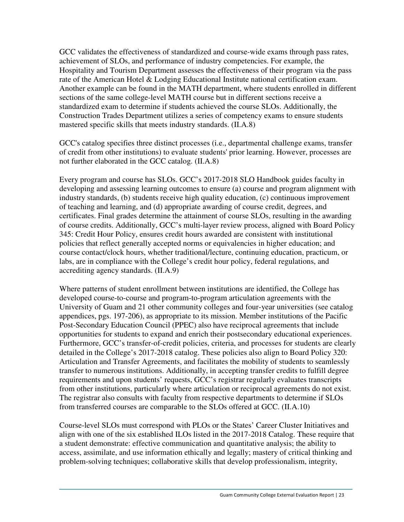GCC validates the effectiveness of standardized and course-wide exams through pass rates, achievement of SLOs, and performance of industry competencies. For example, the Hospitality and Tourism Department assesses the effectiveness of their program via the pass rate of the American Hotel & Lodging Educational Institute national certification exam. Another example can be found in the MATH department, where students enrolled in different sections of the same college-level MATH course but in different sections receive a standardized exam to determine if students achieved the course SLOs. Additionally, the Construction Trades Department utilizes a series of competency exams to ensure students mastered specific skills that meets industry standards. (II.A.8)

GCC's catalog specifies three distinct processes (i.e., departmental challenge exams, transfer of credit from other institutions) to evaluate students' prior learning. However, processes are not further elaborated in the GCC catalog. (II.A.8)

Every program and course has SLOs. GCC's 2017-2018 SLO Handbook guides faculty in developing and assessing learning outcomes to ensure (a) course and program alignment with industry standards, (b) students receive high quality education, (c) continuous improvement of teaching and learning, and (d) appropriate awarding of course credit, degrees, and certificates. Final grades determine the attainment of course SLOs, resulting in the awarding of course credits. Additionally, GCC's multi-layer review process, aligned with Board Policy 345: Credit Hour Policy, ensures credit hours awarded are consistent with institutional policies that reflect generally accepted norms or equivalencies in higher education; and course contact/clock hours, whether traditional/lecture, continuing education, practicum, or labs, are in compliance with the College's credit hour policy, federal regulations, and accrediting agency standards. (II.A.9)

Where patterns of student enrollment between institutions are identified, the College has developed course-to-course and program-to-program articulation agreements with the University of Guam and 21 other community colleges and four-year universities (see catalog appendices, pgs. 197-206), as appropriate to its mission. Member institutions of the Pacific Post-Secondary Education Council (PPEC) also have reciprocal agreements that include opportunities for students to expand and enrich their postsecondary educational experiences. Furthermore, GCC's transfer-of-credit policies, criteria, and processes for students are clearly detailed in the College's 2017-2018 catalog. These policies also align to Board Policy 320: Articulation and Transfer Agreements, and facilitates the mobility of students to seamlessly transfer to numerous institutions. Additionally, in accepting transfer credits to fulfill degree requirements and upon students' requests, GCC's registrar regularly evaluates transcripts from other institutions, particularly where articulation or reciprocal agreements do not exist. The registrar also consults with faculty from respective departments to determine if SLOs from transferred courses are comparable to the SLOs offered at GCC. (II.A.10)

Course-level SLOs must correspond with PLOs or the States' Career Cluster Initiatives and align with one of the six established ILOs listed in the 2017-2018 Catalog. These require that a student demonstrate: effective communication and quantitative analysis; the ability to access, assimilate, and use information ethically and legally; mastery of critical thinking and problem-solving techniques; collaborative skills that develop professionalism, integrity,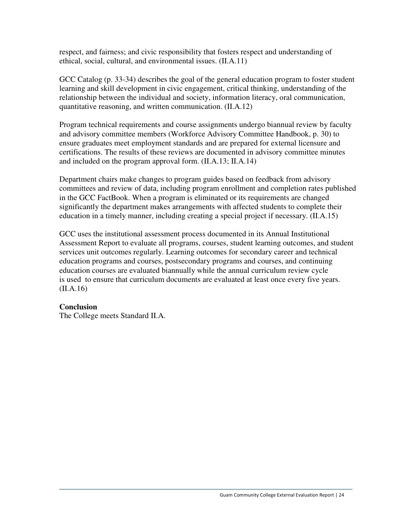respect, and fairness; and civic responsibility that fosters respect and understanding of ethical, social, cultural, and environmental issues. (II.A.11)

GCC Catalog (p. 33-34) describes the goal of the general education program to foster student learning and skill development in civic engagement, critical thinking, understanding of the relationship between the individual and society, information literacy, oral communication, quantitative reasoning, and written communication. (II.A.12)

Program technical requirements and course assignments undergo biannual review by faculty and advisory committee members (Workforce Advisory Committee Handbook, p. 30) to ensure graduates meet employment standards and are prepared for external licensure and certifications. The results of these reviews are documented in advisory committee minutes and included on the program approval form. (II.A.13; II.A.14)

Department chairs make changes to program guides based on feedback from advisory committees and review of data, including program enrollment and completion rates published in the GCC FactBook. When a program is eliminated or its requirements are changed significantly the department makes arrangements with affected students to complete their education in a timely manner, including creating a special project if necessary. (II.A.15)

GCC uses the institutional assessment process documented in its Annual Institutional Assessment Report to evaluate all programs, courses, student learning outcomes, and student services unit outcomes regularly. Learning outcomes for secondary career and technical education programs and courses, postsecondary programs and courses, and continuing education courses are evaluated biannually while the annual curriculum review cycle is used to ensure that curriculum documents are evaluated at least once every five years. (II.A.16)

### **Conclusion**

The College meets Standard II.A.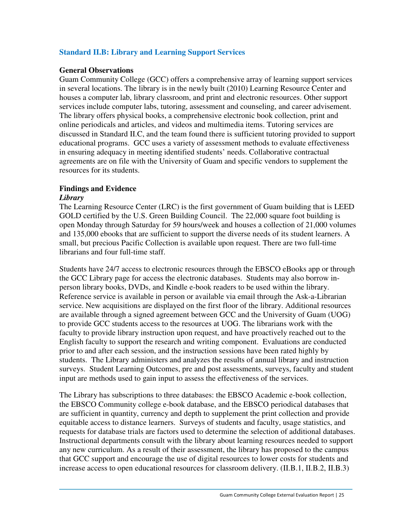### **Standard II.B: Library and Learning Support Services**

### **General Observations**

Guam Community College (GCC) offers a comprehensive array of learning support services in several locations. The library is in the newly built (2010) Learning Resource Center and houses a computer lab, library classroom, and print and electronic resources. Other support services include computer labs, tutoring, assessment and counseling, and career advisement. The library offers physical books, a comprehensive electronic book collection, print and online periodicals and articles, and videos and multimedia items. Tutoring services are discussed in Standard II.C, and the team found there is sufficient tutoring provided to support educational programs. GCC uses a variety of assessment methods to evaluate effectiveness in ensuring adequacy in meeting identified students' needs. Collaborative contractual agreements are on file with the University of Guam and specific vendors to supplement the resources for its students.

### **Findings and Evidence**

#### *Library*

The Learning Resource Center (LRC) is the first government of Guam building that is LEED GOLD certified by the U.S. Green Building Council. The 22,000 square foot building is open Monday through Saturday for 59 hours/week and houses a collection of 21,000 volumes and 135,000 ebooks that are sufficient to support the diverse needs of its student learners. A small, but precious Pacific Collection is available upon request. There are two full-time librarians and four full-time staff.

Students have 24/7 access to electronic resources through the EBSCO eBooks app or through the GCC Library page for access the electronic databases. Students may also borrow inperson library books, DVDs, and Kindle e-book readers to be used within the library. Reference service is available in person or available via email through the Ask-a-Librarian service. New acquisitions are displayed on the first floor of the library. Additional resources are available through a signed agreement between GCC and the University of Guam (UOG) to provide GCC students access to the resources at UOG. The librarians work with the faculty to provide library instruction upon request, and have proactively reached out to the English faculty to support the research and writing component. Evaluations are conducted prior to and after each session, and the instruction sessions have been rated highly by students. The Library administers and analyzes the results of annual library and instruction surveys. Student Learning Outcomes, pre and post assessments, surveys, faculty and student input are methods used to gain input to assess the effectiveness of the services.

The Library has subscriptions to three databases: the EBSCO Academic e-book collection, the EBSCO Community college e-book database, and the EBSCO periodical databases that are sufficient in quantity, currency and depth to supplement the print collection and provide equitable access to distance learners. Surveys of students and faculty, usage statistics, and requests for database trials are factors used to determine the selection of additional databases. Instructional departments consult with the library about learning resources needed to support any new curriculum. As a result of their assessment, the library has proposed to the campus that GCC support and encourage the use of digital resources to lower costs for students and increase access to open educational resources for classroom delivery. (II.B.1, II.B.2, II.B.3)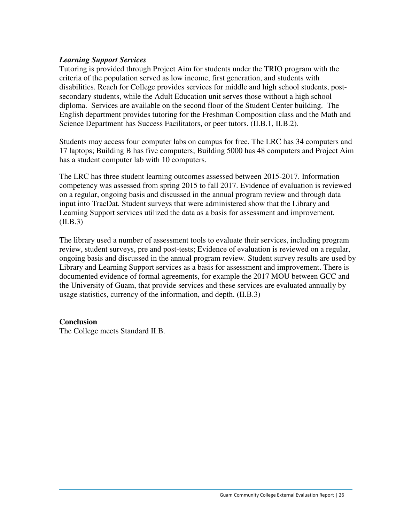### *Learning Support Services*

Tutoring is provided through Project Aim for students under the TRIO program with the criteria of the population served as low income, first generation, and students with disabilities. Reach for College provides services for middle and high school students, postsecondary students, while the Adult Education unit serves those without a high school diploma. Services are available on the second floor of the Student Center building. The English department provides tutoring for the Freshman Composition class and the Math and Science Department has Success Facilitators, or peer tutors. (II.B.1, II.B.2).

Students may access four computer labs on campus for free. The LRC has 34 computers and 17 laptops; Building B has five computers; Building 5000 has 48 computers and Project Aim has a student computer lab with 10 computers.

The LRC has three student learning outcomes assessed between 2015-2017. Information competency was assessed from spring 2015 to fall 2017. Evidence of evaluation is reviewed on a regular, ongoing basis and discussed in the annual program review and through data input into TracDat. Student surveys that were administered show that the Library and Learning Support services utilized the data as a basis for assessment and improvement*.*   $(II.B.3)$ 

The library used a number of assessment tools to evaluate their services, including program review, student surveys, pre and post-tests; Evidence of evaluation is reviewed on a regular, ongoing basis and discussed in the annual program review. Student survey results are used by Library and Learning Support services as a basis for assessment and improvement. There is documented evidence of formal agreements, for example the 2017 MOU between GCC and the University of Guam, that provide services and these services are evaluated annually by usage statistics, currency of the information, and depth. (II.B.3)

### **Conclusion**

The College meets Standard II.B.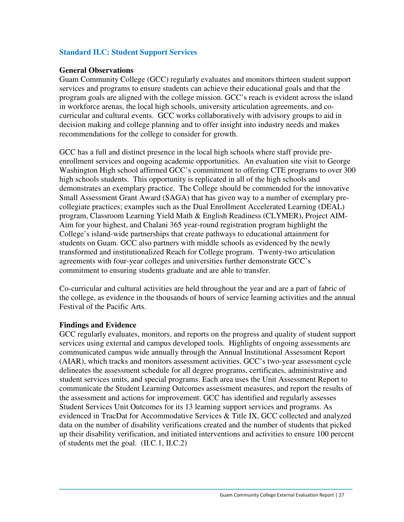### **Standard II.C: Student Support Services**

### **General Observations**

Guam Community College (GCC) regularly evaluates and monitors thirteen student support services and programs to ensure students can achieve their educational goals and that the program goals are aligned with the college mission. GCC's reach is evident across the island in workforce arenas, the local high schools, university articulation agreements, and cocurricular and cultural events. GCC works collaboratively with advisory groups to aid in decision making and college planning and to offer insight into industry needs and makes recommendations for the college to consider for growth.

GCC has a full and distinct presence in the local high schools where staff provide preenrollment services and ongoing academic opportunities. An evaluation site visit to George Washington High school affirmed GCC's commitment to offering CTE programs to over 300 high schools students. This opportunity is replicated in all of the high schools and demonstrates an exemplary practice. The College should be commended for the innovative Small Assessment Grant Award (SAGA) that has given way to a number of exemplary precollegiate practices; examples such as the Dual Enrollment Accelerated Learning (DEAL) program, Classroom Learning Yield Math & English Readiness (CLYMER), Project AIM-Aim for your highest, and Chalani 365 year-round registration program highlight the College's island-wide partnerships that create pathways to educational attainment for students on Guam. GCC also partners with middle schools as evidenced by the newly transformed and institutionalized Reach for College program. Twenty-two articulation agreements with four-year colleges and universities further demonstrate GCC's commitment to ensuring students graduate and are able to transfer.

Co-curricular and cultural activities are held throughout the year and are a part of fabric of the college, as evidence in the thousands of hours of service learning activities and the annual Festival of the Pacific Arts.

### **Findings and Evidence**

GCC regularly evaluates, monitors, and reports on the progress and quality of student support services using external and campus developed tools. Highlights of ongoing assessments are communicated campus wide annually through the Annual Institutional Assessment Report (AIAR), which tracks and monitors assessment activities. GCC's two-year assessment cycle delineates the assessment schedule for all degree programs, certificates, administrative and student services units, and special programs. Each area uses the Unit Assessment Report to communicate the Student Learning Outcomes assessment measures, and report the results of the assessment and actions for improvement. GCC has identified and regularly assesses Student Services Unit Outcomes for its 13 learning support services and programs. As evidenced in TracDat for Accommodative Services & Title IX, GCC collected and analyzed data on the number of disability verifications created and the number of students that picked up their disability verification, and initiated interventions and activities to ensure 100 percent of students met the goal. (II.C.1, II.C.2)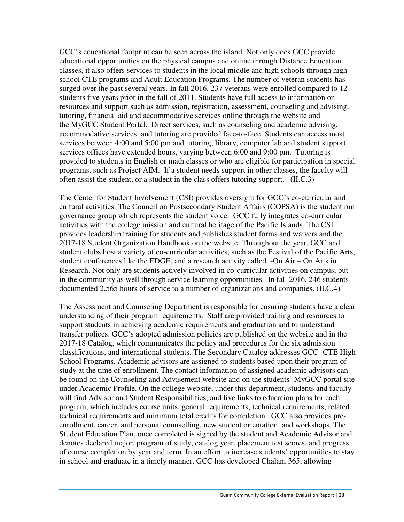GCC's educational footprint can be seen across the island. Not only does GCC provide educational opportunities on the physical campus and online through Distance Education classes, it also offers services to students in the local middle and high schools through high school CTE programs and Adult Education Programs. The number of veteran students has surged over the past several years. In fall 2016, 237 veterans were enrolled compared to 12 students five years prior in the fall of 2011. Students have full access to information on resources and support such as admission, registration, assessment, counseling and advising, tutoring, financial aid and accommodative services online through the website and the MyGCC Student Portal. Direct services, such as counseling and academic advising, accommodative services, and tutoring are provided face-to-face. Students can access most services between 4:00 and 5:00 pm and tutoring, library, computer lab and student support services offices have extended hours, varying between 6:00 and 9:00 pm. Tutoring is provided to students in English or math classes or who are eligible for participation in special programs, such as Project AIM. If a student needs support in other classes, the faculty will often assist the student, or a student in the class offers tutoring support. (II.C.3)

The Center for Student Involvement (CSI) provides oversight for GCC's co-curricular and cultural activities. The Council on Postsecondary Student Affairs (COPSA) is the student run governance group which represents the student voice. GCC fully integrates co-curricular activities with the college mission and cultural heritage of the Pacific Islands. The CSI provides leadership training for students and publishes student forms and waivers and the 2017-18 Student Organization Handbook on the website. Throughout the year, GCC and student clubs host a variety of co-curricular activities, such as the Festival of the Pacific Arts, student conferences like the EDGE, and a research activity called -On Air – On Arts in Research. Not only are students actively involved in co-curricular activities on campus, but in the community as well through service learning opportunities. In fall 2016, 246 students documented 2,565 hours of service to a number of organizations and companies. (II.C.4)

The Assessment and Counseling Department is responsible for ensuring students have a clear understanding of their program requirements. Staff are provided training and resources to support students in achieving academic requirements and graduation and to understand transfer polices. GCC's adopted admission policies are published on the website and in the 2017-18 Catalog, which communicates the policy and procedures for the six admission classifications, and international students. The Secondary Catalog addresses GCC- CTE High School Programs. Academic advisors are assigned to students based upon their program of study at the time of enrollment. The contact information of assigned academic advisors can be found on the Counseling and Advisement website and on the students' MyGCC portal site under Academic Profile. On the college website, under this department, students and faculty will find Advisor and Student Responsibilities, and live links to education plans for each program, which includes course units, general requirements, technical requirements, related technical requirements and minimum total credits for completion. GCC also provides preenrollment, career, and personal counselling, new student orientation, and workshops. The Student Education Plan, once completed is signed by the student and Academic Advisor and denotes declared major, program of study, catalog year, placement test scores, and progress of course completion by year and term. In an effort to increase students' opportunities to stay in school and graduate in a timely manner, GCC has developed Chalani 365, allowing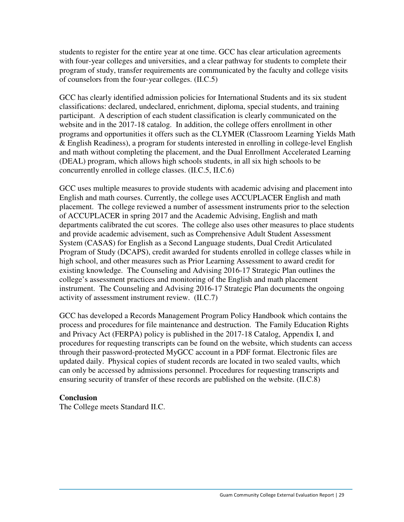students to register for the entire year at one time. GCC has clear articulation agreements with four-year colleges and universities, and a clear pathway for students to complete their program of study, transfer requirements are communicated by the faculty and college visits of counselors from the four-year colleges. (II.C.5)

GCC has clearly identified admission policies for International Students and its six student classifications: declared, undeclared, enrichment, diploma, special students, and training participant. A description of each student classification is clearly communicated on the website and in the 2017-18 catalog. In addition, the college offers enrollment in other programs and opportunities it offers such as the CLYMER (Classroom Learning Yields Math & English Readiness), a program for students interested in enrolling in college-level English and math without completing the placement, and the Dual Enrollment Accelerated Learning (DEAL) program, which allows high schools students, in all six high schools to be concurrently enrolled in college classes. (II.C.5, II.C.6)

GCC uses multiple measures to provide students with academic advising and placement into English and math courses. Currently, the college uses ACCUPLACER English and math placement. The college reviewed a number of assessment instruments prior to the selection of ACCUPLACER in spring 2017 and the Academic Advising, English and math departments calibrated the cut scores. The college also uses other measures to place students and provide academic advisement, such as Comprehensive Adult Student Assessment System (CASAS) for English as a Second Language students, Dual Credit Articulated Program of Study (DCAPS), credit awarded for students enrolled in college classes while in high school, and other measures such as Prior Learning Assessment to award credit for existing knowledge. The Counseling and Advising 2016-17 Strategic Plan outlines the college's assessment practices and monitoring of the English and math placement instrument. The Counseling and Advising 2016-17 Strategic Plan documents the ongoing activity of assessment instrument review. (II.C.7)

GCC has developed a Records Management Program Policy Handbook which contains the process and procedures for file maintenance and destruction. The Family Education Rights and Privacy Act (FERPA) policy is published in the 2017-18 Catalog, Appendix I, and procedures for requesting transcripts can be found on the website, which students can access through their password-protected MyGCC account in a PDF format. Electronic files are updated daily. Physical copies of student records are located in two sealed vaults, which can only be accessed by admissions personnel. Procedures for requesting transcripts and ensuring security of transfer of these records are published on the website. (II.C.8)

### **Conclusion**

The College meets Standard II.C.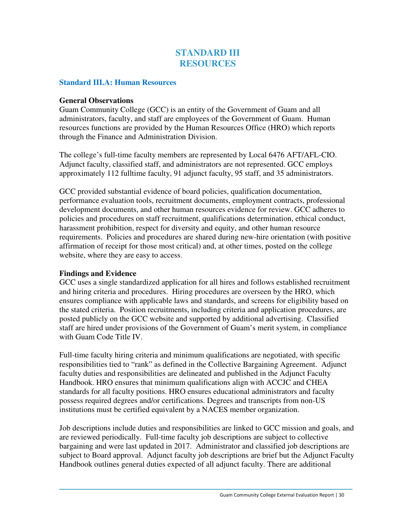### **STANDARD III RESOURCES**

### **Standard III.A: Human Resources**

#### **General Observations**

Guam Community College (GCC) is an entity of the Government of Guam and all administrators, faculty, and staff are employees of the Government of Guam. Human resources functions are provided by the Human Resources Office (HRO) which reports through the Finance and Administration Division.

The college's full-time faculty members are represented by Local 6476 AFT/AFL-CIO. Adjunct faculty, classified staff, and administrators are not represented. GCC employs approximately 112 fulltime faculty, 91 adjunct faculty, 95 staff, and 35 administrators.

GCC provided substantial evidence of board policies, qualification documentation, performance evaluation tools, recruitment documents, employment contracts, professional development documents, and other human resources evidence for review. GCC adheres to policies and procedures on staff recruitment, qualifications determination, ethical conduct, harassment prohibition, respect for diversity and equity, and other human resource requirements. Policies and procedures are shared during new-hire orientation (with positive affirmation of receipt for those most critical) and, at other times, posted on the college website, where they are easy to access.

### **Findings and Evidence**

GCC uses a single standardized application for all hires and follows established recruitment and hiring criteria and procedures. Hiring procedures are overseen by the HRO, which ensures compliance with applicable laws and standards, and screens for eligibility based on the stated criteria. Position recruitments, including criteria and application procedures, are posted publicly on the GCC website and supported by additional advertising. Classified staff are hired under provisions of the Government of Guam's merit system, in compliance with Guam Code Title IV.

Full-time faculty hiring criteria and minimum qualifications are negotiated, with specific responsibilities tied to "rank" as defined in the Collective Bargaining Agreement. Adjunct faculty duties and responsibilities are delineated and published in the Adjunct Faculty Handbook. HRO ensures that minimum qualifications align with ACCJC and CHEA standards for all faculty positions. HRO ensures educational administrators and faculty possess required degrees and/or certifications. Degrees and transcripts from non-US institutions must be certified equivalent by a NACES member organization.

Job descriptions include duties and responsibilities are linked to GCC mission and goals, and are reviewed periodically. Full-time faculty job descriptions are subject to collective bargaining and were last updated in 2017. Administrator and classified job descriptions are subject to Board approval. Adjunct faculty job descriptions are brief but the Adjunct Faculty Handbook outlines general duties expected of all adjunct faculty. There are additional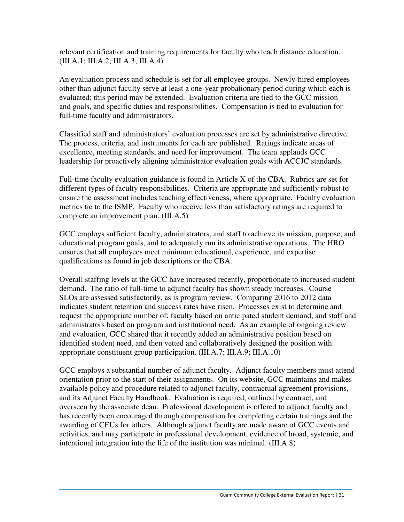relevant certification and training requirements for faculty who teach distance education. (III.A.1; III.A.2; III.A.3; III.A.4)

An evaluation process and schedule is set for all employee groups. Newly-hired employees other than adjunct faculty serve at least a one-year probationary period during which each is evaluated; this period may be extended. Evaluation criteria are tied to the GCC mission and goals, and specific duties and responsibilities. Compensation is tied to evaluation for full-time faculty and administrators.

Classified staff and administrators' evaluation processes are set by administrative directive. The process, criteria, and instruments for each are published. Ratings indicate areas of excellence, meeting standards, and need for improvement. The team applauds GCC leadership for proactively aligning administrator evaluation goals with ACCJC standards.

Full-time faculty evaluation guidance is found in Article X of the CBA. Rubrics are set for different types of faculty responsibilities. Criteria are appropriate and sufficiently robust to ensure the assessment includes teaching effectiveness, where appropriate. Faculty evaluation metrics tie to the ISMP. Faculty who receive less than satisfactory ratings are required to complete an improvement plan. (III.A.5)

GCC employs sufficient faculty, administrators, and staff to achieve its mission, purpose, and educational program goals, and to adequately run its administrative operations. The HRO ensures that all employees meet minimum educational, experience, and expertise qualifications as found in job descriptions or the CBA.

Overall staffing levels at the GCC have increased recently, proportionate to increased student demand. The ratio of full-time to adjunct faculty has shown steady increases. Course SLOs are assessed satisfactorily, as is program review. Comparing 2016 to 2012 data indicates student retention and success rates have risen. Processes exist to determine and request the appropriate number of: faculty based on anticipated student demand, and staff and administrators based on program and institutional need. As an example of ongoing review and evaluation, GCC shared that it recently added an administrative position based on identified student need, and then vetted and collaboratively designed the position with appropriate constituent group participation. (III.A.7; III.A.9; III.A.10)

GCC employs a substantial number of adjunct faculty. Adjunct faculty members must attend orientation prior to the start of their assignments. On its website, GCC maintains and makes available policy and procedure related to adjunct faculty, contractual agreement provisions, and its Adjunct Faculty Handbook. Evaluation is required, outlined by contract, and overseen by the associate dean. Professional development is offered to adjunct faculty and has recently been encouraged through compensation for completing certain trainings and the awarding of CEUs for others. Although adjunct faculty are made aware of GCC events and activities, and may participate in professional development, evidence of broad, systemic, and intentional integration into the life of the institution was minimal. (III.A.8)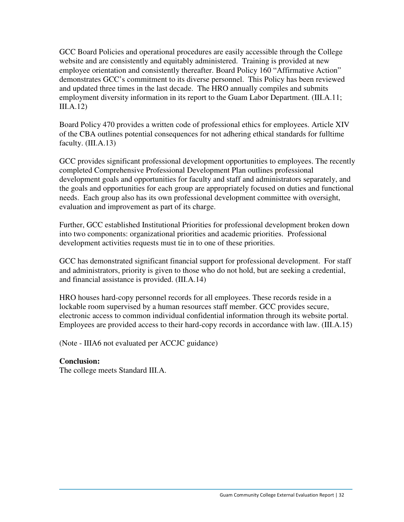GCC Board Policies and operational procedures are easily accessible through the College website and are consistently and equitably administered. Training is provided at new employee orientation and consistently thereafter. Board Policy 160 "Affirmative Action" demonstrates GCC's commitment to its diverse personnel. This Policy has been reviewed and updated three times in the last decade. The HRO annually compiles and submits employment diversity information in its report to the Guam Labor Department. (III.A.11; III.A.12)

Board Policy 470 provides a written code of professional ethics for employees. Article XIV of the CBA outlines potential consequences for not adhering ethical standards for fulltime faculty. (III.A.13)

GCC provides significant professional development opportunities to employees. The recently completed Comprehensive Professional Development Plan outlines professional development goals and opportunities for faculty and staff and administrators separately, and the goals and opportunities for each group are appropriately focused on duties and functional needs. Each group also has its own professional development committee with oversight, evaluation and improvement as part of its charge.

Further, GCC established Institutional Priorities for professional development broken down into two components: organizational priorities and academic priorities. Professional development activities requests must tie in to one of these priorities.

GCC has demonstrated significant financial support for professional development. For staff and administrators, priority is given to those who do not hold, but are seeking a credential, and financial assistance is provided. (III.A.14)

HRO houses hard-copy personnel records for all employees. These records reside in a lockable room supervised by a human resources staff member. GCC provides secure, electronic access to common individual confidential information through its website portal. Employees are provided access to their hard-copy records in accordance with law. (III.A.15)

(Note - IIIA6 not evaluated per ACCJC guidance)

### **Conclusion:**

The college meets Standard III.A.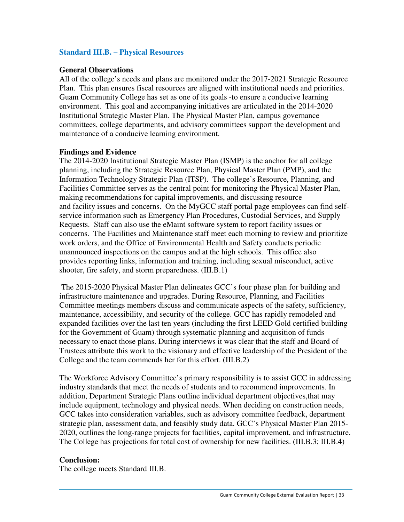### **Standard III.B. – Physical Resources**

#### **General Observations**

All of the college's needs and plans are monitored under the 2017-2021 Strategic Resource Plan. This plan ensures fiscal resources are aligned with institutional needs and priorities. Guam Community College has set as one of its goals -to ensure a conducive learning environment. This goal and accompanying initiatives are articulated in the 2014-2020 Institutional Strategic Master Plan. The Physical Master Plan, campus governance committees, college departments, and advisory committees support the development and maintenance of a conducive learning environment.

#### **Findings and Evidence**

The 2014-2020 Institutional Strategic Master Plan (ISMP) is the anchor for all college planning, including the Strategic Resource Plan, Physical Master Plan (PMP), and the Information Technology Strategic Plan (ITSP). The college's Resource, Planning, and Facilities Committee serves as the central point for monitoring the Physical Master Plan, making recommendations for capital improvements, and discussing resource and facility issues and concerns. On the MyGCC staff portal page employees can find selfservice information such as Emergency Plan Procedures, Custodial Services, and Supply Requests. Staff can also use the eMaint software system to report facility issues or concerns. The Facilities and Maintenance staff meet each morning to review and prioritize work orders, and the Office of Environmental Health and Safety conducts periodic unannounced inspections on the campus and at the high schools. This office also provides reporting links, information and training, including sexual misconduct, active shooter, fire safety, and storm preparedness. (III.B.1)

 The 2015-2020 Physical Master Plan delineates GCC's four phase plan for building and infrastructure maintenance and upgrades. During Resource, Planning, and Facilities Committee meetings members discuss and communicate aspects of the safety, sufficiency, maintenance, accessibility, and security of the college. GCC has rapidly remodeled and expanded facilities over the last ten years (including the first LEED Gold certified building for the Government of Guam) through systematic planning and acquisition of funds necessary to enact those plans. During interviews it was clear that the staff and Board of Trustees attribute this work to the visionary and effective leadership of the President of the College and the team commends her for this effort. (III.B.2)

The Workforce Advisory Committee's primary responsibility is to assist GCC in addressing industry standards that meet the needs of students and to recommend improvements. In addition, Department Strategic Plans outline individual department objectives,that may include equipment, technology and physical needs. When deciding on construction needs, GCC takes into consideration variables, such as advisory committee feedback, department strategic plan, assessment data, and feasibly study data. GCC's Physical Master Plan 2015- 2020, outlines the long-range projects for facilities, capital improvement, and infrastructure. The College has projections for total cost of ownership for new facilities. (III.B.3; III.B.4)

### **Conclusion:**

The college meets Standard III.B.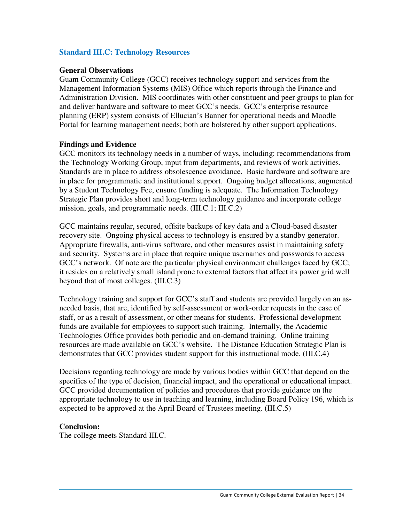### **Standard III.C: Technology Resources**

### **General Observations**

Guam Community College (GCC) receives technology support and services from the Management Information Systems (MIS) Office which reports through the Finance and Administration Division. MIS coordinates with other constituent and peer groups to plan for and deliver hardware and software to meet GCC's needs. GCC's enterprise resource planning (ERP) system consists of Ellucian's Banner for operational needs and Moodle Portal for learning management needs; both are bolstered by other support applications.

#### **Findings and Evidence**

GCC monitors its technology needs in a number of ways, including: recommendations from the Technology Working Group, input from departments, and reviews of work activities. Standards are in place to address obsolescence avoidance. Basic hardware and software are in place for programmatic and institutional support. Ongoing budget allocations, augmented by a Student Technology Fee, ensure funding is adequate. The Information Technology Strategic Plan provides short and long-term technology guidance and incorporate college mission, goals, and programmatic needs. (III.C.1; III.C.2)

GCC maintains regular, secured, offsite backups of key data and a Cloud-based disaster recovery site. Ongoing physical access to technology is ensured by a standby generator. Appropriate firewalls, anti-virus software, and other measures assist in maintaining safety and security. Systems are in place that require unique usernames and passwords to access GCC's network. Of note are the particular physical environment challenges faced by GCC; it resides on a relatively small island prone to external factors that affect its power grid well beyond that of most colleges. (III.C.3)

Technology training and support for GCC's staff and students are provided largely on an asneeded basis, that are, identified by self-assessment or work-order requests in the case of staff, or as a result of assessment, or other means for students. Professional development funds are available for employees to support such training. Internally, the Academic Technologies Office provides both periodic and on-demand training. Online training resources are made available on GCC's website. The Distance Education Strategic Plan is demonstrates that GCC provides student support for this instructional mode. (III.C.4)

Decisions regarding technology are made by various bodies within GCC that depend on the specifics of the type of decision, financial impact, and the operational or educational impact. GCC provided documentation of policies and procedures that provide guidance on the appropriate technology to use in teaching and learning, including Board Policy 196, which is expected to be approved at the April Board of Trustees meeting. (III.C.5)

### **Conclusion:**

The college meets Standard III.C.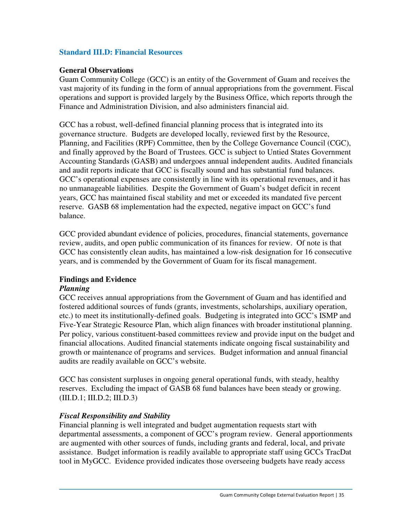### **Standard III.D: Financial Resources**

### **General Observations**

Guam Community College (GCC) is an entity of the Government of Guam and receives the vast majority of its funding in the form of annual appropriations from the government. Fiscal operations and support is provided largely by the Business Office, which reports through the Finance and Administration Division, and also administers financial aid.

GCC has a robust, well-defined financial planning process that is integrated into its governance structure. Budgets are developed locally, reviewed first by the Resource, Planning, and Facilities (RPF) Committee, then by the College Governance Council (CGC), and finally approved by the Board of Trustees. GCC is subject to Untied States Government Accounting Standards (GASB) and undergoes annual independent audits. Audited financials and audit reports indicate that GCC is fiscally sound and has substantial fund balances. GCC's operational expenses are consistently in line with its operational revenues, and it has no unmanageable liabilities. Despite the Government of Guam's budget deficit in recent years, GCC has maintained fiscal stability and met or exceeded its mandated five percent reserve. GASB 68 implementation had the expected, negative impact on GCC's fund balance.

GCC provided abundant evidence of policies, procedures, financial statements, governance review, audits, and open public communication of its finances for review. Of note is that GCC has consistently clean audits, has maintained a low-risk designation for 16 consecutive years, and is commended by the Government of Guam for its fiscal management.

### **Findings and Evidence**

### *Planning*

GCC receives annual appropriations from the Government of Guam and has identified and fostered additional sources of funds (grants, investments, scholarships, auxiliary operation, etc.) to meet its institutionally-defined goals. Budgeting is integrated into GCC's ISMP and Five-Year Strategic Resource Plan, which align finances with broader institutional planning. Per policy, various constituent-based committees review and provide input on the budget and financial allocations. Audited financial statements indicate ongoing fiscal sustainability and growth or maintenance of programs and services. Budget information and annual financial audits are readily available on GCC's website.

GCC has consistent surpluses in ongoing general operational funds, with steady, healthy reserves. Excluding the impact of GASB 68 fund balances have been steady or growing. (III.D.1; III.D.2; III.D.3)

### *Fiscal Responsibility and Stability*

Financial planning is well integrated and budget augmentation requests start with departmental assessments, a component of GCC's program review. General apportionments are augmented with other sources of funds, including grants and federal, local, and private assistance. Budget information is readily available to appropriate staff using GCCs TracDat tool in MyGCC. Evidence provided indicates those overseeing budgets have ready access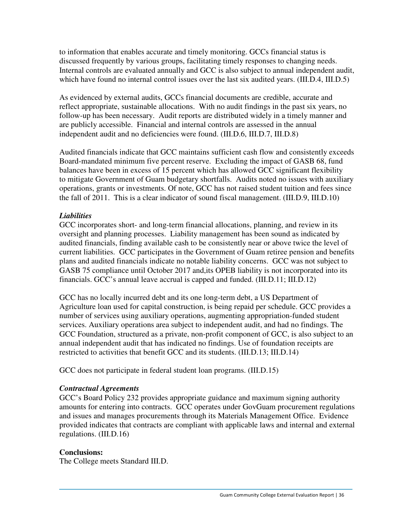to information that enables accurate and timely monitoring. GCCs financial status is discussed frequently by various groups, facilitating timely responses to changing needs. Internal controls are evaluated annually and GCC is also subject to annual independent audit, which have found no internal control issues over the last six audited years. (III.D.4, III.D.5)

As evidenced by external audits, GCCs financial documents are credible, accurate and reflect appropriate, sustainable allocations. With no audit findings in the past six years, no follow-up has been necessary. Audit reports are distributed widely in a timely manner and are publicly accessible. Financial and internal controls are assessed in the annual independent audit and no deficiencies were found. (III.D.6, III.D.7, III.D.8)

Audited financials indicate that GCC maintains sufficient cash flow and consistently exceeds Board-mandated minimum five percent reserve. Excluding the impact of GASB 68, fund balances have been in excess of 15 percent which has allowed GCC significant flexibility to mitigate Government of Guam budgetary shortfalls. Audits noted no issues with auxiliary operations, grants or investments. Of note, GCC has not raised student tuition and fees since the fall of 2011. This is a clear indicator of sound fiscal management. (III.D.9, III.D.10)

### *Liabilities*

GCC incorporates short- and long-term financial allocations, planning, and review in its oversight and planning processes. Liability management has been sound as indicated by audited financials, finding available cash to be consistently near or above twice the level of current liabilities. GCC participates in the Government of Guam retiree pension and benefits plans and audited financials indicate no notable liability concerns. GCC was not subject to GASB 75 compliance until October 2017 and,its OPEB liability is not incorporated into its financials. GCC's annual leave accrual is capped and funded. (III.D.11; III.D.12)

GCC has no locally incurred debt and its one long-term debt, a US Department of Agriculture loan used for capital construction, is being repaid per schedule. GCC provides a number of services using auxiliary operations, augmenting appropriation-funded student services. Auxiliary operations area subject to independent audit, and had no findings. The GCC Foundation, structured as a private, non-profit component of GCC, is also subject to an annual independent audit that has indicated no findings. Use of foundation receipts are restricted to activities that benefit GCC and its students. (III.D.13; III.D.14)

GCC does not participate in federal student loan programs. (III.D.15)

### *Contractual Agreements*

GCC's Board Policy 232 provides appropriate guidance and maximum signing authority amounts for entering into contracts. GCC operates under GovGuam procurement regulations and issues and manages procurements through its Materials Management Office. Evidence provided indicates that contracts are compliant with applicable laws and internal and external regulations. (III.D.16)

### **Conclusions:**

The College meets Standard III.D.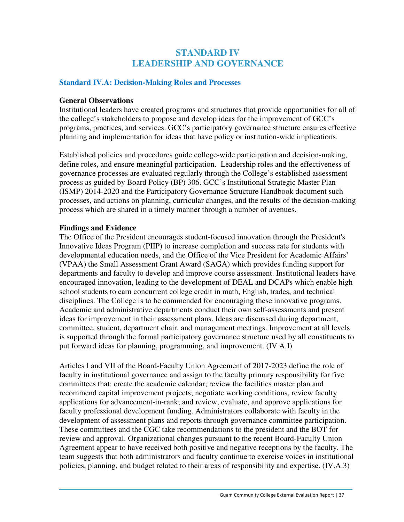### **STANDARD IV LEADERSHIP AND GOVERNANCE**

### **Standard IV.A: Decision-Making Roles and Processes**

### **General Observations**

Institutional leaders have created programs and structures that provide opportunities for all of the college's stakeholders to propose and develop ideas for the improvement of GCC's programs, practices, and services. GCC's participatory governance structure ensures effective planning and implementation for ideas that have policy or institution-wide implications.

Established policies and procedures guide college-wide participation and decision-making, define roles, and ensure meaningful participation. Leadership roles and the effectiveness of governance processes are evaluated regularly through the College's established assessment process as guided by Board Policy (BP) 306. GCC's Institutional Strategic Master Plan (ISMP) 2014-2020 and the Participatory Governance Structure Handbook document such processes, and actions on planning, curricular changes, and the results of the decision-making process which are shared in a timely manner through a number of avenues.

### **Findings and Evidence**

The Office of the President encourages student-focused innovation through the President's Innovative Ideas Program (PIIP) to increase completion and success rate for students with developmental education needs, and the Office of the Vice President for Academic Affairs' (VPAA) the Small Assessment Grant Award (SAGA) which provides funding support for departments and faculty to develop and improve course assessment. Institutional leaders have encouraged innovation, leading to the development of DEAL and DCAPs which enable high school students to earn concurrent college credit in math, English, trades, and technical disciplines. The College is to be commended for encouraging these innovative programs. Academic and administrative departments conduct their own self-assessments and present ideas for improvement in their assessment plans. Ideas are discussed during department, committee, student, department chair, and management meetings. Improvement at all levels is supported through the formal participatory governance structure used by all constituents to put forward ideas for planning, programming, and improvement. (IV.A.I)

Articles I and VII of the Board-Faculty Union Agreement of 2017-2023 define the role of faculty in institutional governance and assign to the faculty primary responsibility for five committees that: create the academic calendar; review the facilities master plan and recommend capital improvement projects; negotiate working conditions, review faculty applications for advancement-in-rank; and review, evaluate, and approve applications for faculty professional development funding. Administrators collaborate with faculty in the development of assessment plans and reports through governance committee participation. These committees and the CGC take recommendations to the president and the BOT for review and approval. Organizational changes pursuant to the recent Board-Faculty Union Agreement appear to have received both positive and negative receptions by the faculty. The team suggests that both administrators and faculty continue to exercise voices in institutional policies, planning, and budget related to their areas of responsibility and expertise. (IV.A.3)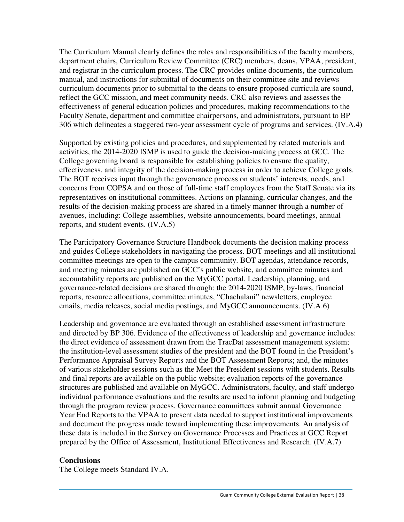The Curriculum Manual clearly defines the roles and responsibilities of the faculty members, department chairs, Curriculum Review Committee (CRC) members, deans, VPAA, president, and registrar in the curriculum process. The CRC provides online documents, the curriculum manual, and instructions for submittal of documents on their committee site and reviews curriculum documents prior to submittal to the deans to ensure proposed curricula are sound, reflect the GCC mission, and meet community needs. CRC also reviews and assesses the effectiveness of general education policies and procedures, making recommendations to the Faculty Senate, department and committee chairpersons, and administrators, pursuant to BP 306 which delineates a staggered two-year assessment cycle of programs and services. (IV.A.4)

Supported by existing policies and procedures, and supplemented by related materials and activities, the 2014-2020 ISMP is used to guide the decision-making process at GCC. The College governing board is responsible for establishing policies to ensure the quality, effectiveness, and integrity of the decision-making process in order to achieve College goals. The BOT receives input through the governance process on students' interests, needs, and concerns from COPSA and on those of full-time staff employees from the Staff Senate via its representatives on institutional committees. Actions on planning, curricular changes, and the results of the decision-making process are shared in a timely manner through a number of avenues, including: College assemblies, website announcements, board meetings, annual reports, and student events. (IV.A.5)

The Participatory Governance Structure Handbook documents the decision making process and guides College stakeholders in navigating the process. BOT meetings and all institutional committee meetings are open to the campus community. BOT agendas, attendance records, and meeting minutes are published on GCC's public website, and committee minutes and accountability reports are published on the MyGCC portal. Leadership, planning, and governance-related decisions are shared through: the 2014-2020 ISMP, by-laws, financial reports, resource allocations, committee minutes, "Chachalani" newsletters, employee emails, media releases, social media postings, and MyGCC announcements. (IV.A.6)

Leadership and governance are evaluated through an established assessment infrastructure and directed by BP 306. Evidence of the effectiveness of leadership and governance includes: the direct evidence of assessment drawn from the TracDat assessment management system; the institution-level assessment studies of the president and the BOT found in the President's Performance Appraisal Survey Reports and the BOT Assessment Reports; and, the minutes of various stakeholder sessions such as the Meet the President sessions with students. Results and final reports are available on the public website; evaluation reports of the governance structures are published and available on MyGCC. Administrators, faculty, and staff undergo individual performance evaluations and the results are used to inform planning and budgeting through the program review process. Governance committees submit annual Governance Year End Reports to the VPAA to present data needed to support institutional improvements and document the progress made toward implementing these improvements. An analysis of these data is included in the Survey on Governance Processes and Practices at GCC Report prepared by the Office of Assessment, Institutional Effectiveness and Research. (IV.A.7)

### **Conclusions**

The College meets Standard IV.A.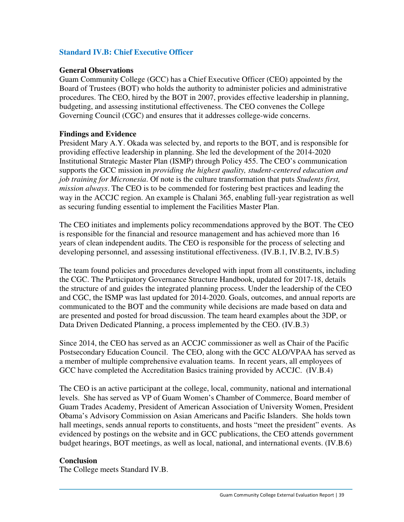### **Standard IV.B: Chief Executive Officer**

### **General Observations**

Guam Community College (GCC) has a Chief Executive Officer (CEO) appointed by the Board of Trustees (BOT) who holds the authority to administer policies and administrative procedures. The CEO, hired by the BOT in 2007, provides effective leadership in planning, budgeting, and assessing institutional effectiveness. The CEO convenes the College Governing Council (CGC) and ensures that it addresses college-wide concerns.

### **Findings and Evidence**

President Mary A.Y. Okada was selected by, and reports to the BOT, and is responsible for providing effective leadership in planning. She led the development of the 2014-2020 Institutional Strategic Master Plan (ISMP) through Policy 455. The CEO's communication supports the GCC mission in *providing the highest quality, student-centered education and job training for Micronesia*. Of note is the culture transformation that puts *Students first, mission always*. The CEO is to be commended for fostering best practices and leading the way in the ACCJC region. An example is Chalani 365, enabling full-year registration as well as securing funding essential to implement the Facilities Master Plan.

The CEO initiates and implements policy recommendations approved by the BOT. The CEO is responsible for the financial and resource management and has achieved more than 16 years of clean independent audits. The CEO is responsible for the process of selecting and developing personnel, and assessing institutional effectiveness. (IV.B.1, IV.B.2, IV.B.5)

The team found policies and procedures developed with input from all constituents, including the CGC. The Participatory Governance Structure Handbook, updated for 2017-18, details the structure of and guides the integrated planning process. Under the leadership of the CEO and CGC, the ISMP was last updated for 2014-2020. Goals, outcomes, and annual reports are communicated to the BOT and the community while decisions are made based on data and are presented and posted for broad discussion. The team heard examples about the 3DP, or Data Driven Dedicated Planning, a process implemented by the CEO. (IV.B.3)

Since 2014, the CEO has served as an ACCJC commissioner as well as Chair of the Pacific Postsecondary Education Council. The CEO, along with the GCC ALO/VPAA has served as a member of multiple comprehensive evaluation teams. In recent years, all employees of GCC have completed the Accreditation Basics training provided by ACCJC. (IV.B.4)

The CEO is an active participant at the college, local, community, national and international levels. She has served as VP of Guam Women's Chamber of Commerce, Board member of Guam Trades Academy, President of American Association of University Women, President Obama's Advisory Commission on Asian Americans and Pacific Islanders. She holds town hall meetings, sends annual reports to constituents, and hosts "meet the president" events. As evidenced by postings on the website and in GCC publications, the CEO attends government budget hearings, BOT meetings, as well as local, national, and international events. (IV.B.6)

### **Conclusion**

The College meets Standard IV.B.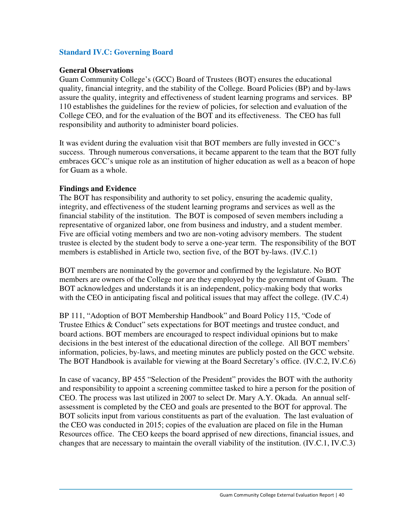### **Standard IV.C: Governing Board**

### **General Observations**

Guam Community College's (GCC) Board of Trustees (BOT) ensures the educational quality, financial integrity, and the stability of the College. Board Policies (BP) and by-laws assure the quality, integrity and effectiveness of student learning programs and services. BP 110 establishes the guidelines for the review of policies, for selection and evaluation of the College CEO, and for the evaluation of the BOT and its effectiveness. The CEO has full responsibility and authority to administer board policies.

It was evident during the evaluation visit that BOT members are fully invested in GCC's success. Through numerous conversations, it became apparent to the team that the BOT fully embraces GCC's unique role as an institution of higher education as well as a beacon of hope for Guam as a whole.

### **Findings and Evidence**

The BOT has responsibility and authority to set policy, ensuring the academic quality, integrity, and effectiveness of the student learning programs and services as well as the financial stability of the institution. The BOT is composed of seven members including a representative of organized labor, one from business and industry, and a student member. Five are official voting members and two are non-voting advisory members. The student trustee is elected by the student body to serve a one-year term. The responsibility of the BOT members is established in Article two, section five, of the BOT by-laws. (IV.C.1)

BOT members are nominated by the governor and confirmed by the legislature. No BOT members are owners of the College nor are they employed by the government of Guam. The BOT acknowledges and understands it is an independent, policy-making body that works with the CEO in anticipating fiscal and political issues that may affect the college. (IV.C.4)

BP 111, "Adoption of BOT Membership Handbook" and Board Policy 115, "Code of Trustee Ethics & Conduct" sets expectations for BOT meetings and trustee conduct, and board actions. BOT members are encouraged to respect individual opinions but to make decisions in the best interest of the educational direction of the college. All BOT members' information, policies, by-laws, and meeting minutes are publicly posted on the GCC website. The BOT Handbook is available for viewing at the Board Secretary's office. (IV.C.2, IV.C.6)

In case of vacancy, BP 455 "Selection of the President" provides the BOT with the authority and responsibility to appoint a screening committee tasked to hire a person for the position of CEO. The process was last utilized in 2007 to select Dr. Mary A.Y. Okada. An annual selfassessment is completed by the CEO and goals are presented to the BOT for approval. The BOT solicits input from various constituents as part of the evaluation. The last evaluation of the CEO was conducted in 2015; copies of the evaluation are placed on file in the Human Resources office. The CEO keeps the board apprised of new directions, financial issues, and changes that are necessary to maintain the overall viability of the institution. (IV.C.1, IV.C.3)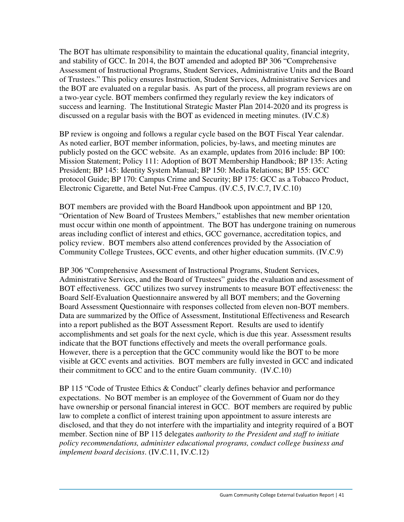The BOT has ultimate responsibility to maintain the educational quality, financial integrity, and stability of GCC. In 2014, the BOT amended and adopted BP 306 "Comprehensive Assessment of Instructional Programs, Student Services, Administrative Units and the Board of Trustees." This policy ensures Instruction, Student Services, Administrative Services and the BOT are evaluated on a regular basis. As part of the process, all program reviews are on a two-year cycle. BOT members confirmed they regularly review the key indicators of success and learning. The Institutional Strategic Master Plan 2014-2020 and its progress is discussed on a regular basis with the BOT as evidenced in meeting minutes. (IV.C.8)

BP review is ongoing and follows a regular cycle based on the BOT Fiscal Year calendar. As noted earlier, BOT member information, policies, by-laws, and meeting minutes are publicly posted on the GCC website. As an example, updates from 2016 include: BP 100: Mission Statement; Policy 111: Adoption of BOT Membership Handbook; BP 135: Acting President; BP 145: Identity System Manual; BP 150: Media Relations; BP 155: GCC protocol Guide; BP 170: Campus Crime and Security; BP 175: GCC as a Tobacco Product, Electronic Cigarette, and Betel Nut-Free Campus. (IV.C.5, IV.C.7, IV.C.10)

BOT members are provided with the Board Handbook upon appointment and BP 120, "Orientation of New Board of Trustees Members," establishes that new member orientation must occur within one month of appointment. The BOT has undergone training on numerous areas including conflict of interest and ethics, GCC governance, accreditation topics, and policy review. BOT members also attend conferences provided by the Association of Community College Trustees, GCC events, and other higher education summits. (IV.C.9)

BP 306 "Comprehensive Assessment of Instructional Programs, Student Services, Administrative Services, and the Board of Trustees" guides the evaluation and assessment of BOT effectiveness. GCC utilizes two survey instruments to measure BOT effectiveness: the Board Self-Evaluation Questionnaire answered by all BOT members; and the Governing Board Assessment Questionnaire with responses collected from eleven non-BOT members. Data are summarized by the Office of Assessment, Institutional Effectiveness and Research into a report published as the BOT Assessment Report. Results are used to identify accomplishments and set goals for the next cycle, which is due this year. Assessment results indicate that the BOT functions effectively and meets the overall performance goals. However, there is a perception that the GCC community would like the BOT to be more visible at GCC events and activities. BOT members are fully invested in GCC and indicated their commitment to GCC and to the entire Guam community. (IV.C.10)

BP 115 "Code of Trustee Ethics & Conduct" clearly defines behavior and performance expectations. No BOT member is an employee of the Government of Guam nor do they have ownership or personal financial interest in GCC. BOT members are required by public law to complete a conflict of interest training upon appointment to assure interests are disclosed, and that they do not interfere with the impartiality and integrity required of a BOT member. Section nine of BP 115 delegates *authority to the President and staff to initiate policy recommendations, administer educational programs, conduct college business and implement board decisions*. (IV.C.11, IV.C.12)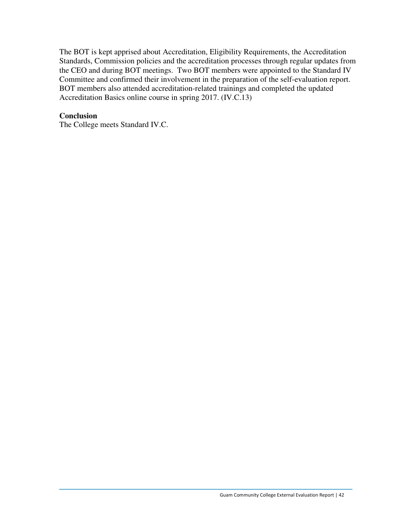The BOT is kept apprised about Accreditation, Eligibility Requirements, the Accreditation Standards, Commission policies and the accreditation processes through regular updates from the CEO and during BOT meetings. Two BOT members were appointed to the Standard IV Committee and confirmed their involvement in the preparation of the self-evaluation report. BOT members also attended accreditation-related trainings and completed the updated Accreditation Basics online course in spring 2017. (IV.C.13)

### **Conclusion**

The College meets Standard IV.C.